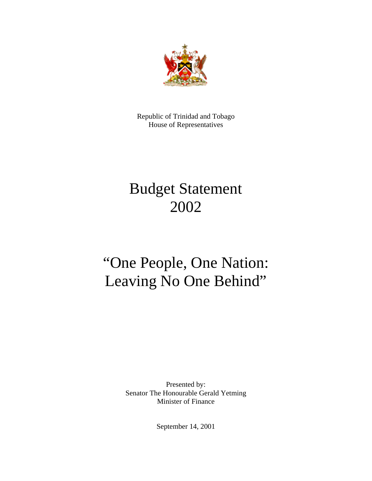

Republic of Trinidad and Tobago House of Representatives

# Budget Statement 2002

# "One People, One Nation: Leaving No One Behind"

Presented by: Senator The Honourable Gerald Yetming Minister of Finance

September 14, 2001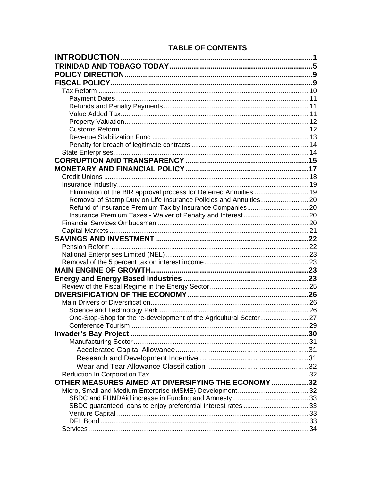## **TABLE OF CONTENTS**

| Elimination of the BIR approval process for Deferred Annuities  19 |  |
|--------------------------------------------------------------------|--|
|                                                                    |  |
|                                                                    |  |
|                                                                    |  |
|                                                                    |  |
|                                                                    |  |
|                                                                    |  |
|                                                                    |  |
|                                                                    |  |
|                                                                    |  |
|                                                                    |  |
|                                                                    |  |
|                                                                    |  |
|                                                                    |  |
|                                                                    |  |
|                                                                    |  |
| One-Stop-Shop for the re-development of the Agricultural Sector27  |  |
|                                                                    |  |
|                                                                    |  |
|                                                                    |  |
|                                                                    |  |
|                                                                    |  |
|                                                                    |  |
|                                                                    |  |
| OTHER MEASURES AIMED AT DIVERSIFYING THE ECONOMY 32                |  |
|                                                                    |  |
|                                                                    |  |
|                                                                    |  |
|                                                                    |  |
|                                                                    |  |
|                                                                    |  |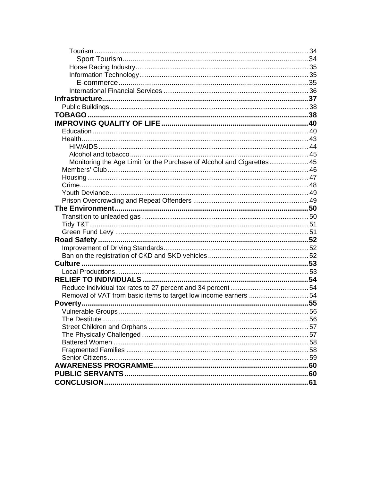| Monitoring the Age Limit for the Purchase of Alcohol and Cigarettes 45 |    |
|------------------------------------------------------------------------|----|
|                                                                        |    |
|                                                                        |    |
|                                                                        |    |
|                                                                        |    |
|                                                                        |    |
|                                                                        |    |
|                                                                        |    |
|                                                                        |    |
|                                                                        |    |
|                                                                        |    |
|                                                                        |    |
|                                                                        |    |
|                                                                        |    |
|                                                                        |    |
|                                                                        |    |
|                                                                        |    |
|                                                                        |    |
|                                                                        |    |
|                                                                        |    |
|                                                                        | 56 |
|                                                                        |    |
|                                                                        |    |
|                                                                        |    |
|                                                                        |    |
|                                                                        |    |
|                                                                        |    |
|                                                                        |    |
|                                                                        |    |
|                                                                        |    |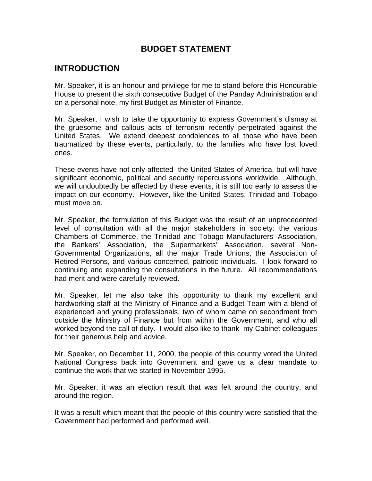## **BUDGET STATEMENT**

# <span id="page-3-0"></span>**INTRODUCTION**

Mr. Speaker, it is an honour and privilege for me to stand before this Honourable House to present the sixth consecutive Budget of the Panday Administration and on a personal note, my first Budget as Minister of Finance.

Mr. Speaker, I wish to take the opportunity to express Government's dismay at the gruesome and callous acts of terrorism recently perpetrated against the United States. We extend deepest condolences to all those who have been traumatized by these events, particularly, to the families who have lost loved ones.

These events have not only affected the United States of America, but will have significant economic, political and security repercussions worldwide. Although, we will undoubtedly be affected by these events, it is still too early to assess the impact on our economy. However, like the United States, Trinidad and Tobago must move on.

Mr. Speaker, the formulation of this Budget was the result of an unprecedented level of consultation with all the major stakeholders in society: the various Chambers of Commerce, the Trinidad and Tobago Manufacturers' Association, the Bankers' Association, the Supermarkets' Association, several Non-Governmental Organizations, all the major Trade Unions, the Association of Retired Persons, and various concerned, patriotic individuals. I look forward to continuing and expanding the consultations in the future. All recommendations had merit and were carefully reviewed.

Mr. Speaker, let me also take this opportunity to thank my excellent and hardworking staff at the Ministry of Finance and a Budget Team with a blend of experienced and young professionals, two of whom came on secondment from outside the Ministry of Finance but from within the Government, and who all worked beyond the call of duty. I would also like to thank my Cabinet colleagues for their generous help and advice.

Mr. Speaker, on December 11, 2000, the people of this country voted the United National Congress back into Government and gave us a clear mandate to continue the work that we started in November 1995.

Mr. Speaker, it was an election result that was felt around the country, and around the region.

It was a result which meant that the people of this country were satisfied that the Government had performed and performed well.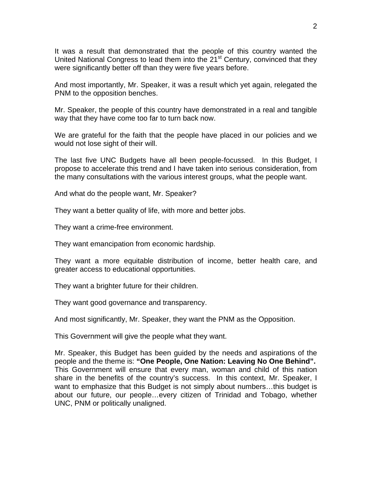It was a result that demonstrated that the people of this country wanted the United National Congress to lead them into the 21<sup>st</sup> Century, convinced that they were significantly better off than they were five years before.

And most importantly, Mr. Speaker, it was a result which yet again, relegated the PNM to the opposition benches.

Mr. Speaker, the people of this country have demonstrated in a real and tangible way that they have come too far to turn back now.

We are grateful for the faith that the people have placed in our policies and we would not lose sight of their will.

The last five UNC Budgets have all been people-focussed. In this Budget, I propose to accelerate this trend and I have taken into serious consideration, from the many consultations with the various interest groups, what the people want.

And what do the people want, Mr. Speaker?

They want a better quality of life, with more and better jobs.

They want a crime-free environment.

They want emancipation from economic hardship.

They want a more equitable distribution of income, better health care, and greater access to educational opportunities.

They want a brighter future for their children.

They want good governance and transparency.

And most significantly, Mr. Speaker, they want the PNM as the Opposition.

This Government will give the people what they want.

Mr. Speaker, this Budget has been guided by the needs and aspirations of the people and the theme is: **"One People, One Nation: Leaving No One Behind".**  This Government will ensure that every man, woman and child of this nation share in the benefits of the country's success. In this context, Mr. Speaker, I want to emphasize that this Budget is not simply about numbers…this budget is about our future, our people…every citizen of Trinidad and Tobago, whether UNC, PNM or politically unaligned.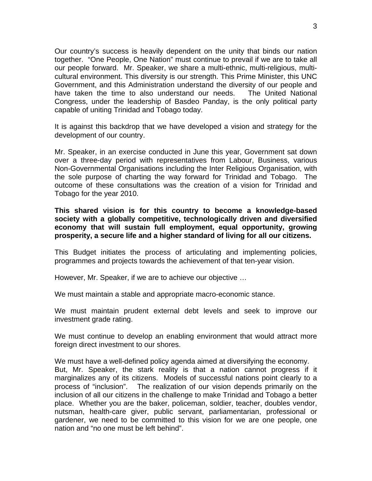Our country's success is heavily dependent on the unity that binds our nation together. "One People, One Nation" must continue to prevail if we are to take all our people forward. Mr. Speaker, we share a multi-ethnic, multi-religious, multicultural environment. This diversity is our strength. This Prime Minister, this UNC Government, and this Administration understand the diversity of our people and have taken the time to also understand our needs. The United National Congress, under the leadership of Basdeo Panday, is the only political party capable of uniting Trinidad and Tobago today.

It is against this backdrop that we have developed a vision and strategy for the development of our country.

Mr. Speaker, in an exercise conducted in June this year, Government sat down over a three-day period with representatives from Labour, Business, various Non-Governmental Organisations including the Inter Religious Organisation, with the sole purpose of charting the way forward for Trinidad and Tobago. The outcome of these consultations was the creation of a vision for Trinidad and Tobago for the year 2010.

**This shared vision is for this country to become a knowledge-based society with a globally competitive, technologically driven and diversified economy that will sustain full employment, equal opportunity, growing prosperity, a secure life and a higher standard of living for all our citizens.** 

This Budget initiates the process of articulating and implementing policies, programmes and projects towards the achievement of that ten-year vision.

However, Mr. Speaker, if we are to achieve our objective …

We must maintain a stable and appropriate macro-economic stance.

We must maintain prudent external debt levels and seek to improve our investment grade rating.

We must continue to develop an enabling environment that would attract more foreign direct investment to our shores.

We must have a well-defined policy agenda aimed at diversifying the economy. But, Mr. Speaker, the stark reality is that a nation cannot progress if it marginalizes any of its citizens. Models of successful nations point clearly to a process of "inclusion". The realization of our vision depends primarily on the inclusion of all our citizens in the challenge to make Trinidad and Tobago a better place. Whether you are the baker, policeman, soldier, teacher, doubles vendor, nutsman, health-care giver, public servant, parliamentarian, professional or gardener, we need to be committed to this vision for we are one people, one nation and "no one must be left behind".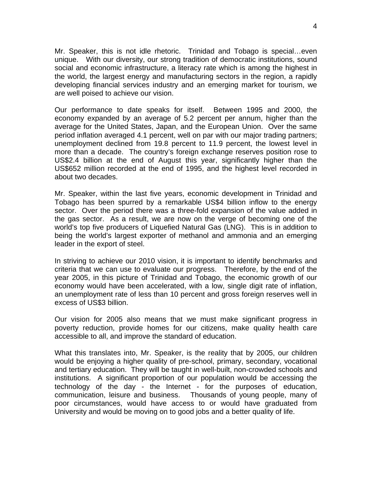Mr. Speaker, this is not idle rhetoric. Trinidad and Tobago is special…even unique. With our diversity, our strong tradition of democratic institutions, sound social and economic infrastructure, a literacy rate which is among the highest in the world, the largest energy and manufacturing sectors in the region, a rapidly developing financial services industry and an emerging market for tourism, we are well poised to achieve our vision.

Our performance to date speaks for itself. Between 1995 and 2000, the economy expanded by an average of 5.2 percent per annum, higher than the average for the United States, Japan, and the European Union. Over the same period inflation averaged 4.1 percent, well on par with our major trading partners; unemployment declined from 19.8 percent to 11.9 percent, the lowest level in more than a decade. The country's foreign exchange reserves position rose to US\$2.4 billion at the end of August this year, significantly higher than the US\$652 million recorded at the end of 1995, and the highest level recorded in about two decades.

Mr. Speaker, within the last five years, economic development in Trinidad and Tobago has been spurred by a remarkable US\$4 billion inflow to the energy sector. Over the period there was a three-fold expansion of the value added in the gas sector. As a result, we are now on the verge of becoming one of the world's top five producers of Liquefied Natural Gas (LNG). This is in addition to being the world's largest exporter of methanol and ammonia and an emerging leader in the export of steel.

In striving to achieve our 2010 vision, it is important to identify benchmarks and criteria that we can use to evaluate our progress. Therefore, by the end of the year 2005, in this picture of Trinidad and Tobago, the economic growth of our economy would have been accelerated, with a low, single digit rate of inflation, an unemployment rate of less than 10 percent and gross foreign reserves well in excess of US\$3 billion.

Our vision for 2005 also means that we must make significant progress in poverty reduction, provide homes for our citizens, make quality health care accessible to all, and improve the standard of education.

What this translates into, Mr. Speaker, is the reality that by 2005, our children would be enjoying a higher quality of pre-school, primary, secondary, vocational and tertiary education. They will be taught in well-built, non-crowded schools and institutions. A significant proportion of our population would be accessing the technology of the day - the Internet - for the purposes of education, communication, leisure and business. Thousands of young people, many of poor circumstances, would have access to or would have graduated from University and would be moving on to good jobs and a better quality of life.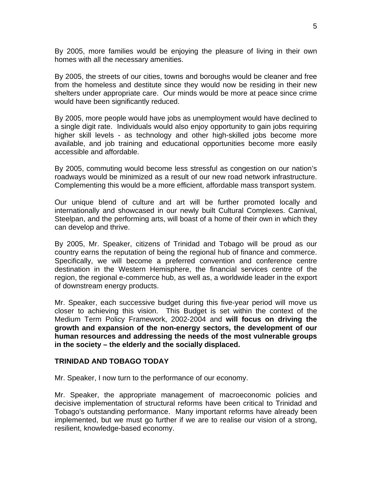<span id="page-7-0"></span>By 2005, more families would be enjoying the pleasure of living in their own homes with all the necessary amenities.

By 2005, the streets of our cities, towns and boroughs would be cleaner and free from the homeless and destitute since they would now be residing in their new shelters under appropriate care. Our minds would be more at peace since crime would have been significantly reduced.

By 2005, more people would have jobs as unemployment would have declined to a single digit rate. Individuals would also enjoy opportunity to gain jobs requiring higher skill levels - as technology and other high-skilled jobs become more available, and job training and educational opportunities become more easily accessible and affordable.

By 2005, commuting would become less stressful as congestion on our nation's roadways would be minimized as a result of our new road network infrastructure. Complementing this would be a more efficient, affordable mass transport system.

Our unique blend of culture and art will be further promoted locally and internationally and showcased in our newly built Cultural Complexes. Carnival, Steelpan, and the performing arts, will boast of a home of their own in which they can develop and thrive.

By 2005, Mr. Speaker, citizens of Trinidad and Tobago will be proud as our country earns the reputation of being the regional hub of finance and commerce. Specifically, we will become a preferred convention and conference centre destination in the Western Hemisphere, the financial services centre of the region, the regional e-commerce hub, as well as, a worldwide leader in the export of downstream energy products.

Mr. Speaker, each successive budget during this five-year period will move us closer to achieving this vision. This Budget is set within the context of the Medium Term Policy Framework, 2002-2004 and **will focus on driving the growth and expansion of the non-energy sectors, the development of our human resources and addressing the needs of the most vulnerable groups in the society – the elderly and the socially displaced.** 

#### **TRINIDAD AND TOBAGO TODAY**

Mr. Speaker, I now turn to the performance of our economy.

Mr. Speaker, the appropriate management of macroeconomic policies and decisive implementation of structural reforms have been critical to Trinidad and Tobago's outstanding performance. Many important reforms have already been implemented, but we must go further if we are to realise our vision of a strong, resilient, knowledge-based economy.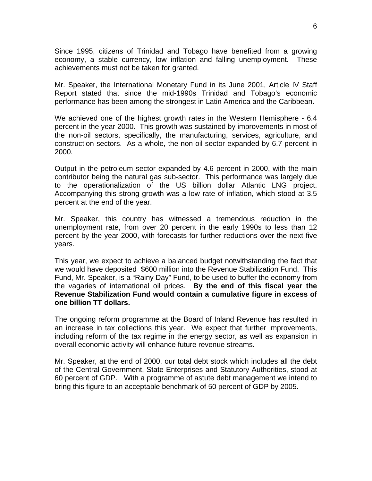Since 1995, citizens of Trinidad and Tobago have benefited from a growing economy, a stable currency, low inflation and falling unemployment. These achievements must not be taken for granted.

Mr. Speaker, the International Monetary Fund in its June 2001, Article IV Staff Report stated that since the mid-1990s Trinidad and Tobago's economic performance has been among the strongest in Latin America and the Caribbean.

We achieved one of the highest growth rates in the Western Hemisphere - 6.4 percent in the year 2000. This growth was sustained by improvements in most of the non-oil sectors, specifically, the manufacturing, services, agriculture, and construction sectors. As a whole, the non-oil sector expanded by 6.7 percent in 2000.

Output in the petroleum sector expanded by 4.6 percent in 2000, with the main contributor being the natural gas sub-sector. This performance was largely due to the operationalization of the US billion dollar Atlantic LNG project. Accompanying this strong growth was a low rate of inflation, which stood at 3.5 percent at the end of the year.

Mr. Speaker, this country has witnessed a tremendous reduction in the unemployment rate, from over 20 percent in the early 1990s to less than 12 percent by the year 2000, with forecasts for further reductions over the next five years.

This year, we expect to achieve a balanced budget notwithstanding the fact that we would have deposited \$600 million into the Revenue Stabilization Fund. This Fund, Mr. Speaker, is a "Rainy Day" Fund, to be used to buffer the economy from the vagaries of international oil prices. **By the end of this fiscal year the Revenue Stabilization Fund would contain a cumulative figure in excess of one billion TT dollars.** 

The ongoing reform programme at the Board of Inland Revenue has resulted in an increase in tax collections this year. We expect that further improvements, including reform of the tax regime in the energy sector, as well as expansion in overall economic activity will enhance future revenue streams.

Mr. Speaker, at the end of 2000, our total debt stock which includes all the debt of the Central Government, State Enterprises and Statutory Authorities, stood at 60 percent of GDP. With a programme of astute debt management we intend to bring this figure to an acceptable benchmark of 50 percent of GDP by 2005.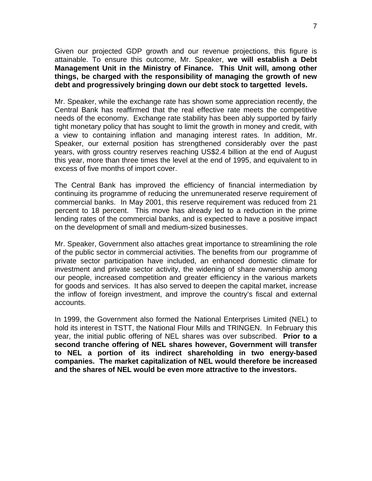Given our projected GDP growth and our revenue projections, this figure is attainable. To ensure this outcome, Mr. Speaker, **we will establish a Debt Management Unit in the Ministry of Finance. This Unit will, among other things, be charged with the responsibility of managing the growth of new debt and progressively bringing down our debt stock to targetted levels.**

Mr. Speaker, while the exchange rate has shown some appreciation recently, the Central Bank has reaffirmed that the real effective rate meets the competitive needs of the economy. Exchange rate stability has been ably supported by fairly tight monetary policy that has sought to limit the growth in money and credit, with a view to containing inflation and managing interest rates. In addition, Mr. Speaker, our external position has strengthened considerably over the past years, with gross country reserves reaching US\$2.4 billion at the end of August this year, more than three times the level at the end of 1995, and equivalent to in excess of five months of import cover.

The Central Bank has improved the efficiency of financial intermediation by continuing its programme of reducing the unremunerated reserve requirement of commercial banks. In May 2001, this reserve requirement was reduced from 21 percent to 18 percent. This move has already led to a reduction in the prime lending rates of the commercial banks, and is expected to have a positive impact on the development of small and medium-sized businesses.

Mr. Speaker, Government also attaches great importance to streamlining the role of the public sector in commercial activities. The benefits from our programme of private sector participation have included, an enhanced domestic climate for investment and private sector activity, the widening of share ownership among our people, increased competition and greater efficiency in the various markets for goods and services. It has also served to deepen the capital market, increase the inflow of foreign investment, and improve the country's fiscal and external accounts.

In 1999, the Government also formed the National Enterprises Limited (NEL) to hold its interest in TSTT, the National Flour Mills and TRINGEN. In February this year, the initial public offering of NEL shares was over subscribed. **Prior to a second tranche offering of NEL shares however, Government will transfer to NEL a portion of its indirect shareholding in two energy-based companies. The market capitalization of NEL would therefore be increased and the shares of NEL would be even more attractive to the investors.**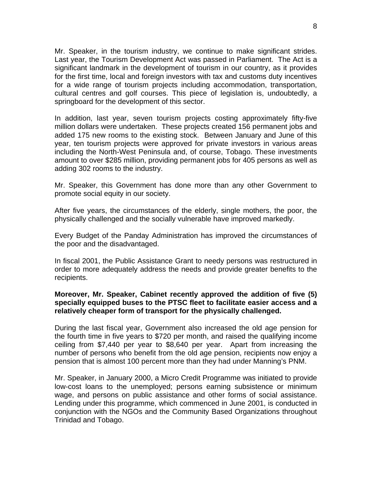Mr. Speaker, in the tourism industry, we continue to make significant strides. Last year, the Tourism Development Act was passed in Parliament. The Act is a significant landmark in the development of tourism in our country, as it provides for the first time, local and foreign investors with tax and customs duty incentives for a wide range of tourism projects including accommodation, transportation, cultural centres and golf courses. This piece of legislation is, undoubtedly, a springboard for the development of this sector.

In addition, last year, seven tourism projects costing approximately fifty-five million dollars were undertaken. These projects created 156 permanent jobs and added 175 new rooms to the existing stock. Between January and June of this year, ten tourism projects were approved for private investors in various areas including the North-West Peninsula and, of course, Tobago. These investments amount to over \$285 million, providing permanent jobs for 405 persons as well as adding 302 rooms to the industry.

Mr. Speaker, this Government has done more than any other Government to promote social equity in our society.

After five years, the circumstances of the elderly, single mothers, the poor, the physically challenged and the socially vulnerable have improved markedly.

Every Budget of the Panday Administration has improved the circumstances of the poor and the disadvantaged.

In fiscal 2001, the Public Assistance Grant to needy persons was restructured in order to more adequately address the needs and provide greater benefits to the recipients.

#### **Moreover, Mr. Speaker, Cabinet recently approved the addition of five (5) specially equipped buses to the PTSC fleet to facilitate easier access and a relatively cheaper form of transport for the physically challenged.**

During the last fiscal year, Government also increased the old age pension for the fourth time in five years to \$720 per month, and raised the qualifying income ceiling from \$7,440 per year to \$8,640 per year. Apart from increasing the number of persons who benefit from the old age pension, recipients now enjoy a pension that is almost 100 percent more than they had under Manning's PNM.

Mr. Speaker, in January 2000, a Micro Credit Programme was initiated to provide low-cost loans to the unemployed; persons earning subsistence or minimum wage, and persons on public assistance and other forms of social assistance. Lending under this programme, which commenced in June 2001, is conducted in conjunction with the NGOs and the Community Based Organizations throughout Trinidad and Tobago.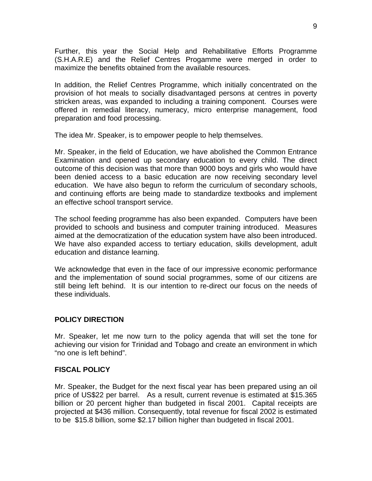<span id="page-11-0"></span>Further, this year the Social Help and Rehabilitative Efforts Programme (S.H.A.R.E) and the Relief Centres Progamme were merged in order to maximize the benefits obtained from the available resources.

In addition, the Relief Centres Programme, which initially concentrated on the provision of hot meals to socially disadvantaged persons at centres in poverty stricken areas, was expanded to including a training component. Courses were offered in remedial literacy, numeracy, micro enterprise management, food preparation and food processing.

The idea Mr. Speaker, is to empower people to help themselves.

Mr. Speaker, in the field of Education, we have abolished the Common Entrance Examination and opened up secondary education to every child. The direct outcome of this decision was that more than 9000 boys and girls who would have been denied access to a basic education are now receiving secondary level education. We have also begun to reform the curriculum of secondary schools, and continuing efforts are being made to standardize textbooks and implement an effective school transport service.

The school feeding programme has also been expanded. Computers have been provided to schools and business and computer training introduced. Measures aimed at the democratization of the education system have also been introduced. We have also expanded access to tertiary education, skills development, adult education and distance learning.

We acknowledge that even in the face of our impressive economic performance and the implementation of sound social programmes, some of our citizens are still being left behind. It is our intention to re-direct our focus on the needs of these individuals.

## **POLICY DIRECTION**

Mr. Speaker, let me now turn to the policy agenda that will set the tone for achieving our vision for Trinidad and Tobago and create an environment in which "no one is left behind".

#### **FISCAL POLICY**

Mr. Speaker, the Budget for the next fiscal year has been prepared using an oil price of US\$22 per barrel. As a result, current revenue is estimated at \$15.365 billion or 20 percent higher than budgeted in fiscal 2001. Capital receipts are projected at \$436 million. Consequently, total revenue for fiscal 2002 is estimated to be \$15.8 billion, some \$2.17 billion higher than budgeted in fiscal 2001.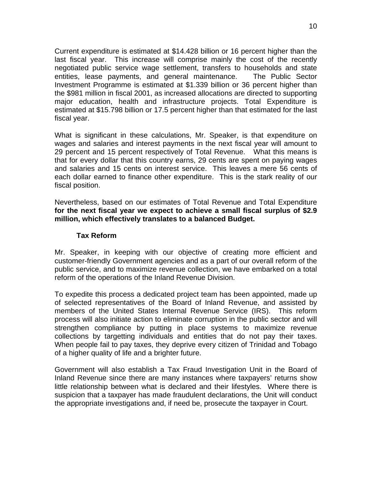<span id="page-12-0"></span>Current expenditure is estimated at \$14.428 billion or 16 percent higher than the last fiscal year. This increase will comprise mainly the cost of the recently negotiated public service wage settlement, transfers to households and state entities, lease payments, and general maintenance. The Public Sector Investment Programme is estimated at \$1.339 billion or 36 percent higher than the \$981 million in fiscal 2001, as increased allocations are directed to supporting major education, health and infrastructure projects. Total Expenditure is estimated at \$15.798 billion or 17.5 percent higher than that estimated for the last fiscal year.

What is significant in these calculations, Mr. Speaker, is that expenditure on wages and salaries and interest payments in the next fiscal year will amount to 29 percent and 15 percent respectively of Total Revenue. What this means is that for every dollar that this country earns, 29 cents are spent on paying wages and salaries and 15 cents on interest service. This leaves a mere 56 cents of each dollar earned to finance other expenditure. This is the stark reality of our fiscal position.

Nevertheless, based on our estimates of Total Revenue and Total Expenditure **for the next fiscal year we expect to achieve a small fiscal surplus of \$2.9 million, which effectively translates to a balanced Budget.**

#### **Tax Reform**

Mr. Speaker, in keeping with our objective of creating more efficient and customer-friendly Government agencies and as a part of our overall reform of the public service, and to maximize revenue collection, we have embarked on a total reform of the operations of the Inland Revenue Division.

To expedite this process a dedicated project team has been appointed, made up of selected representatives of the Board of Inland Revenue, and assisted by members of the United States Internal Revenue Service (IRS). This reform process will also initiate action to eliminate corruption in the public sector and will strengthen compliance by putting in place systems to maximize revenue collections by targetting individuals and entities that do not pay their taxes. When people fail to pay taxes, they deprive every citizen of Trinidad and Tobago of a higher quality of life and a brighter future.

Government will also establish a Tax Fraud Investigation Unit in the Board of Inland Revenue since there are many instances where taxpayers' returns show little relationship between what is declared and their lifestyles. Where there is suspicion that a taxpayer has made fraudulent declarations, the Unit will conduct the appropriate investigations and, if need be, prosecute the taxpayer in Court.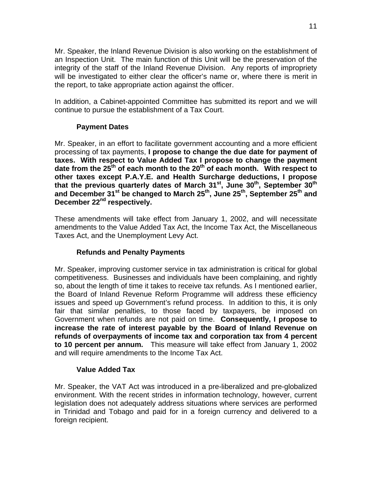<span id="page-13-0"></span>Mr. Speaker, the Inland Revenue Division is also working on the establishment of an Inspection Unit. The main function of this Unit will be the preservation of the integrity of the staff of the Inland Revenue Division. Any reports of impropriety will be investigated to either clear the officer's name or, where there is merit in the report, to take appropriate action against the officer.

In addition, a Cabinet-appointed Committee has submitted its report and we will continue to pursue the establishment of a Tax Court.

## **Payment Dates**

Mr. Speaker, in an effort to facilitate government accounting and a more efficient processing of tax payments, **I propose to change the due date for payment of taxes. With respect to Value Added Tax I propose to change the payment**  date from the 25<sup>th</sup> of each month to the 20<sup>th</sup> of each month. With respect to **other taxes except P.A.Y.E. and Health Surcharge deductions, I propose that the previous quarterly dates of March 31st, June 30th, September 30th** and December 31<sup>st</sup> be changed to March 25<sup>th</sup>, June 25<sup>th</sup>, September 25<sup>th</sup> and December 22<sup>nd</sup> respectively.

These amendments will take effect from January 1, 2002, and will necessitate amendments to the Value Added Tax Act, the Income Tax Act, the Miscellaneous Taxes Act, and the Unemployment Levy Act.

## **Refunds and Penalty Payments**

Mr. Speaker, improving customer service in tax administration is critical for global competitiveness. Businesses and individuals have been complaining, and rightly so, about the length of time it takes to receive tax refunds. As I mentioned earlier, the Board of Inland Revenue Reform Programme will address these efficiency issues and speed up Government's refund process. In addition to this, it is only fair that similar penalties, to those faced by taxpayers, be imposed on Government when refunds are not paid on time. **Consequently, I propose to increase the rate of interest payable by the Board of Inland Revenue on refunds of overpayments of income tax and corporation tax from 4 percent to 10 percent per annum.** This measure will take effect from January 1, 2002 and will require amendments to the Income Tax Act.

## **Value Added Tax**

Mr. Speaker, the VAT Act was introduced in a pre-liberalized and pre-globalized environment. With the recent strides in information technology, however, current legislation does not adequately address situations where services are performed in Trinidad and Tobago and paid for in a foreign currency and delivered to a foreign recipient.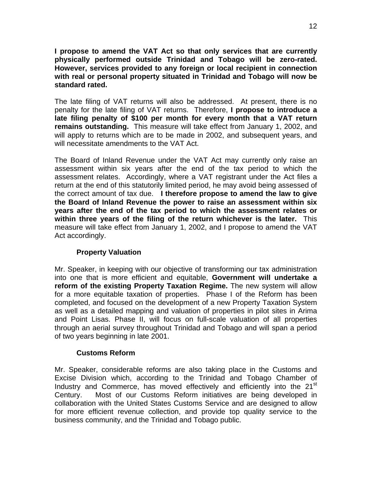<span id="page-14-0"></span>**I propose to amend the VAT Act so that only services that are currently physically performed outside Trinidad and Tobago will be zero-rated. However, services provided to any foreign or local recipient in connection with real or personal property situated in Trinidad and Tobago will now be standard rated.** 

The late filing of VAT returns will also be addressed. At present, there is no penalty for the late filing of VAT returns. Therefore, **I propose to introduce a late filing penalty of \$100 per month for every month that a VAT return remains outstanding.** This measure will take effect from January 1, 2002, and will apply to returns which are to be made in 2002, and subsequent years, and will necessitate amendments to the VAT Act.

The Board of Inland Revenue under the VAT Act may currently only raise an assessment within six years after the end of the tax period to which the assessment relates. Accordingly, where a VAT registrant under the Act files a return at the end of this statutorily limited period, he may avoid being assessed of the correct amount of tax due. **I therefore propose to amend the law to give the Board of Inland Revenue the power to raise an assessment within six years after the end of the tax period to which the assessment relates or within three years of the filing of the return whichever is the later.** This measure will take effect from January 1, 2002, and I propose to amend the VAT Act accordingly.

#### **Property Valuation**

Mr. Speaker, in keeping with our objective of transforming our tax administration into one that is more efficient and equitable, **Government will undertake a reform of the existing Property Taxation Regime.** The new system will allow for a more equitable taxation of properties. Phase I of the Reform has been completed, and focused on the development of a new Property Taxation System as well as a detailed mapping and valuation of properties in pilot sites in Arima and Point Lisas. Phase II, will focus on full-scale valuation of all properties through an aerial survey throughout Trinidad and Tobago and will span a period of two years beginning in late 2001.

## **Customs Reform**

Mr. Speaker, considerable reforms are also taking place in the Customs and Excise Division which, according to the Trinidad and Tobago Chamber of Industry and Commerce, has moved effectively and efficiently into the  $21<sup>st</sup>$ Century. Most of our Customs Reform initiatives are being developed in collaboration with the United States Customs Service and are designed to allow for more efficient revenue collection, and provide top quality service to the business community, and the Trinidad and Tobago public.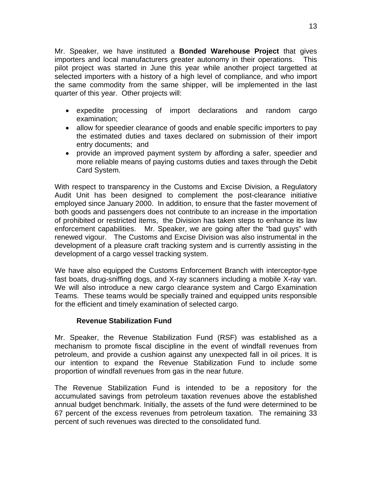<span id="page-15-0"></span>Mr. Speaker, we have instituted a **Bonded Warehouse Project** that gives importers and local manufacturers greater autonomy in their operations. This pilot project was started in June this year while another project targetted at selected importers with a history of a high level of compliance, and who import the same commodity from the same shipper, will be implemented in the last quarter of this year. Other projects will:

- expedite processing of import declarations and random cargo examination;
- allow for speedier clearance of goods and enable specific importers to pay the estimated duties and taxes declared on submission of their import entry documents; and
- provide an improved payment system by affording a safer, speedier and more reliable means of paying customs duties and taxes through the Debit Card System.

With respect to transparency in the Customs and Excise Division, a Regulatory Audit Unit has been designed to complement the post-clearance initiative employed since January 2000. In addition, to ensure that the faster movement of both goods and passengers does not contribute to an increase in the importation of prohibited or restricted items, the Division has taken steps to enhance its law enforcement capabilities. Mr. Speaker, we are going after the "bad guys" with renewed vigour. The Customs and Excise Division was also instrumental in the development of a pleasure craft tracking system and is currently assisting in the development of a cargo vessel tracking system.

We have also equipped the Customs Enforcement Branch with interceptor-type fast boats, drug-sniffing dogs, and X-ray scanners including a mobile X-ray van. We will also introduce a new cargo clearance system and Cargo Examination Teams. These teams would be specially trained and equipped units responsible for the efficient and timely examination of selected cargo.

#### **Revenue Stabilization Fund**

Mr. Speaker, the Revenue Stabilization Fund (RSF) was established as a mechanism to promote fiscal discipline in the event of windfall revenues from petroleum, and provide a cushion against any unexpected fall in oil prices. It is our intention to expand the Revenue Stabilization Fund to include some proportion of windfall revenues from gas in the near future.

The Revenue Stabilization Fund is intended to be a repository for the accumulated savings from petroleum taxation revenues above the established annual budget benchmark. Initially, the assets of the fund were determined to be 67 percent of the excess revenues from petroleum taxation. The remaining 33 percent of such revenues was directed to the consolidated fund.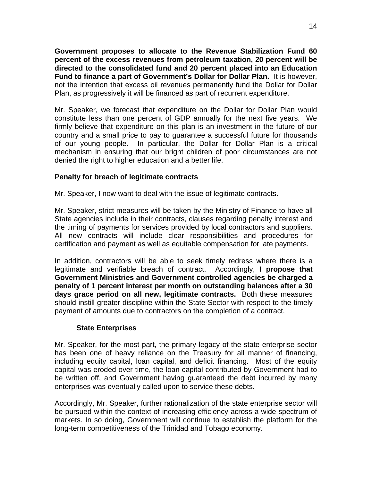<span id="page-16-0"></span>**Government proposes to allocate to the Revenue Stabilization Fund 60 percent of the excess revenues from petroleum taxation, 20 percent will be directed to the consolidated fund and 20 percent placed into an Education Fund to finance a part of Government's Dollar for Dollar Plan.** It is however, not the intention that excess oil revenues permanently fund the Dollar for Dollar Plan, as progressively it will be financed as part of recurrent expenditure.

Mr. Speaker, we forecast that expenditure on the Dollar for Dollar Plan would constitute less than one percent of GDP annually for the next five years. We firmly believe that expenditure on this plan is an investment in the future of our country and a small price to pay to guarantee a successful future for thousands of our young people. In particular, the Dollar for Dollar Plan is a critical mechanism in ensuring that our bright children of poor circumstances are not denied the right to higher education and a better life.

## **Penalty for breach of legitimate contracts**

Mr. Speaker, I now want to deal with the issue of legitimate contracts.

Mr. Speaker, strict measures will be taken by the Ministry of Finance to have all State agencies include in their contracts, clauses regarding penalty interest and the timing of payments for services provided by local contractors and suppliers. All new contracts will include clear responsibilities and procedures for certification and payment as well as equitable compensation for late payments.

In addition, contractors will be able to seek timely redress where there is a legitimate and verifiable breach of contract. Accordingly, **I propose that Government Ministries and Government controlled agencies be charged a penalty of 1 percent interest per month on outstanding balances after a 30 days grace period on all new, legitimate contracts.** Both these measures should instill greater discipline within the State Sector with respect to the timely payment of amounts due to contractors on the completion of a contract.

#### **State Enterprises**

Mr. Speaker, for the most part, the primary legacy of the state enterprise sector has been one of heavy reliance on the Treasury for all manner of financing, including equity capital, loan capital, and deficit financing. Most of the equity capital was eroded over time, the loan capital contributed by Government had to be written off, and Government having guaranteed the debt incurred by many enterprises was eventually called upon to service these debts.

Accordingly, Mr. Speaker, further rationalization of the state enterprise sector will be pursued within the context of increasing efficiency across a wide spectrum of markets. In so doing, Government will continue to establish the platform for the long-term competitiveness of the Trinidad and Tobago economy.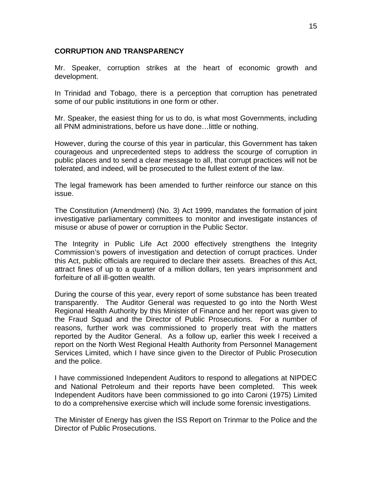### <span id="page-17-0"></span>**CORRUPTION AND TRANSPARENCY**

Mr. Speaker, corruption strikes at the heart of economic growth and development.

In Trinidad and Tobago, there is a perception that corruption has penetrated some of our public institutions in one form or other.

Mr. Speaker, the easiest thing for us to do, is what most Governments, including all PNM administrations, before us have done…little or nothing.

However, during the course of this year in particular, this Government has taken courageous and unprecedented steps to address the scourge of corruption in public places and to send a clear message to all, that corrupt practices will not be tolerated, and indeed, will be prosecuted to the fullest extent of the law.

The legal framework has been amended to further reinforce our stance on this issue.

The Constitution (Amendment) (No. 3) Act 1999, mandates the formation of joint investigative parliamentary committees to monitor and investigate instances of misuse or abuse of power or corruption in the Public Sector.

The Integrity in Public Life Act 2000 effectively strengthens the Integrity Commission's powers of investigation and detection of corrupt practices. Under this Act, public officials are required to declare their assets. Breaches of this Act, attract fines of up to a quarter of a million dollars, ten years imprisonment and forfeiture of all ill-gotten wealth.

During the course of this year, every report of some substance has been treated transparently. The Auditor General was requested to go into the North West Regional Health Authority by this Minister of Finance and her report was given to the Fraud Squad and the Director of Public Prosecutions. For a number of reasons, further work was commissioned to properly treat with the matters reported by the Auditor General. As a follow up, earlier this week I received a report on the North West Regional Health Authority from Personnel Management Services Limited, which I have since given to the Director of Public Prosecution and the police.

I have commissioned Independent Auditors to respond to allegations at NIPDEC and National Petroleum and their reports have been completed. This week Independent Auditors have been commissioned to go into Caroni (1975) Limited to do a comprehensive exercise which will include some forensic investigations.

The Minister of Energy has given the ISS Report on Trinmar to the Police and the Director of Public Prosecutions.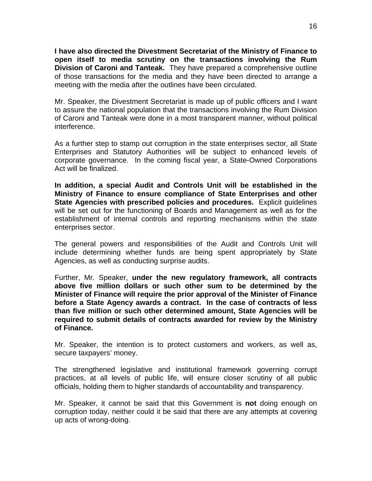**I have also directed the Divestment Secretariat of the Ministry of Finance to open itself to media scrutiny on the transactions involving the Rum Division of Caroni and Tanteak.** They have prepared a comprehensive outline of those transactions for the media and they have been directed to arrange a meeting with the media after the outlines have been circulated.

Mr. Speaker, the Divestment Secretariat is made up of public officers and I want to assure the national population that the transactions involving the Rum Division of Caroni and Tanteak were done in a most transparent manner, without political interference.

As a further step to stamp out corruption in the state enterprises sector, all State Enterprises and Statutory Authorities will be subject to enhanced levels of corporate governance. In the coming fiscal year, a State-Owned Corporations Act will be finalized.

**In addition, a special Audit and Controls Unit will be established in the Ministry of Finance to ensure compliance of State Enterprises and other State Agencies with prescribed policies and procedures.** Explicit guidelines will be set out for the functioning of Boards and Management as well as for the establishment of internal controls and reporting mechanisms within the state enterprises sector.

The general powers and responsibilities of the Audit and Controls Unit will include determining whether funds are being spent appropriately by State Agencies, as well as conducting surprise audits.

Further, Mr. Speaker, **under the new regulatory framework, all contracts above five million dollars or such other sum to be determined by the Minister of Finance will require the prior approval of the Minister of Finance before a State Agency awards a contract. In the case of contracts of less than five million or such other determined amount, State Agencies will be required to submit details of contracts awarded for review by the Ministry of Finance.** 

Mr. Speaker, the intention is to protect customers and workers, as well as, secure taxpayers' money.

The strengthened legislative and institutional framework governing corrupt practices, at all levels of public life, will ensure closer scrutiny of all public officials, holding them to higher standards of accountability and transparency.

Mr. Speaker, it cannot be said that this Government is **not** doing enough on corruption today, neither could it be said that there are any attempts at covering up acts of wrong-doing.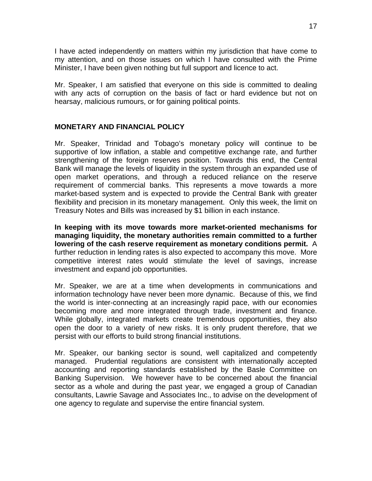<span id="page-19-0"></span>I have acted independently on matters within my jurisdiction that have come to my attention, and on those issues on which I have consulted with the Prime Minister, I have been given nothing but full support and licence to act.

Mr. Speaker, I am satisfied that everyone on this side is committed to dealing with any acts of corruption on the basis of fact or hard evidence but not on hearsay, malicious rumours, or for gaining political points.

#### **MONETARY AND FINANCIAL POLICY**

Mr. Speaker, Trinidad and Tobago's monetary policy will continue to be supportive of low inflation, a stable and competitive exchange rate, and further strengthening of the foreign reserves position. Towards this end, the Central Bank will manage the levels of liquidity in the system through an expanded use of open market operations, and through a reduced reliance on the reserve requirement of commercial banks. This represents a move towards a more market-based system and is expected to provide the Central Bank with greater flexibility and precision in its monetary management. Only this week, the limit on Treasury Notes and Bills was increased by \$1 billion in each instance.

**In keeping with its move towards more market-oriented mechanisms for managing liquidity, the monetary authorities remain committed to a further lowering of the cash reserve requirement as monetary conditions permit.** A further reduction in lending rates is also expected to accompany this move. More competitive interest rates would stimulate the level of savings, increase investment and expand job opportunities.

Mr. Speaker, we are at a time when developments in communications and information technology have never been more dynamic. Because of this, we find the world is inter-connecting at an increasingly rapid pace, with our economies becoming more and more integrated through trade, investment and finance. While globally, integrated markets create tremendous opportunities, they also open the door to a variety of new risks. It is only prudent therefore, that we persist with our efforts to build strong financial institutions.

Mr. Speaker, our banking sector is sound, well capitalized and competently managed. Prudential regulations are consistent with internationally accepted accounting and reporting standards established by the Basle Committee on Banking Supervision. We however have to be concerned about the financial sector as a whole and during the past year, we engaged a group of Canadian consultants, Lawrie Savage and Associates Inc., to advise on the development of one agency to regulate and supervise the entire financial system.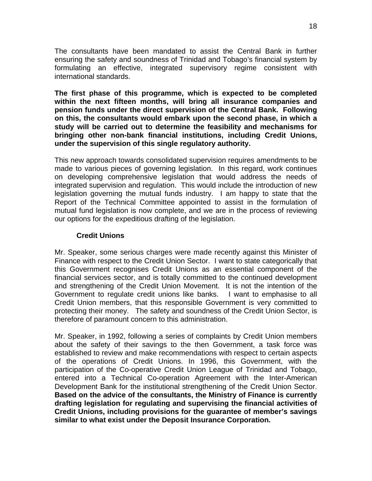<span id="page-20-0"></span>The consultants have been mandated to assist the Central Bank in further ensuring the safety and soundness of Trinidad and Tobago's financial system by formulating an effective, integrated supervisory regime consistent with international standards.

**The first phase of this programme, which is expected to be completed within the next fifteen months, will bring all insurance companies and pension funds under the direct supervision of the Central Bank. Following on this, the consultants would embark upon the second phase, in which a study will be carried out to determine the feasibility and mechanisms for bringing other non-bank financial institutions, including Credit Unions, under the supervision of this single regulatory authority.** 

This new approach towards consolidated supervision requires amendments to be made to various pieces of governing legislation. In this regard, work continues on developing comprehensive legislation that would address the needs of integrated supervision and regulation. This would include the introduction of new legislation governing the mutual funds industry. I am happy to state that the Report of the Technical Committee appointed to assist in the formulation of mutual fund legislation is now complete, and we are in the process of reviewing our options for the expeditious drafting of the legislation.

## **Credit Unions**

Mr. Speaker, some serious charges were made recently against this Minister of Finance with respect to the Credit Union Sector. I want to state categorically that this Government recognises Credit Unions as an essential component of the financial services sector, and is totally committed to the continued development and strengthening of the Credit Union Movement. It is not the intention of the Government to regulate credit unions like banks. I want to emphasise to all Credit Union members, that this responsible Government is very committed to protecting their money. The safety and soundness of the Credit Union Sector, is therefore of paramount concern to this administration.

Mr. Speaker, in 1992, following a series of complaints by Credit Union members about the safety of their savings to the then Government, a task force was established to review and make recommendations with respect to certain aspects of the operations of Credit Unions. In 1996, this Government, with the participation of the Co-operative Credit Union League of Trinidad and Tobago, entered into a Technical Co-operation Agreement with the Inter-American Development Bank for the institutional strengthening of the Credit Union Sector. **Based on the advice of the consultants, the Ministry of Finance is currently drafting legislation for regulating and supervising the financial activities of Credit Unions, including provisions for the guarantee of member's savings similar to what exist under the Deposit Insurance Corporation.**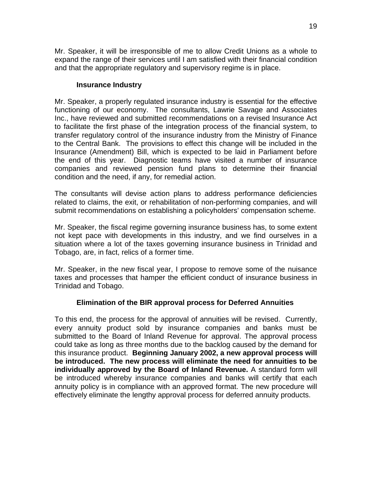<span id="page-21-0"></span>Mr. Speaker, it will be irresponsible of me to allow Credit Unions as a whole to expand the range of their services until I am satisfied with their financial condition and that the appropriate regulatory and supervisory regime is in place.

#### **Insurance Industry**

Mr. Speaker, a properly regulated insurance industry is essential for the effective functioning of our economy. The consultants, Lawrie Savage and Associates Inc., have reviewed and submitted recommendations on a revised Insurance Act to facilitate the first phase of the integration process of the financial system, to transfer regulatory control of the insurance industry from the Ministry of Finance to the Central Bank. The provisions to effect this change will be included in the Insurance (Amendment) Bill, which is expected to be laid in Parliament before the end of this year. Diagnostic teams have visited a number of insurance companies and reviewed pension fund plans to determine their financial condition and the need, if any, for remedial action.

The consultants will devise action plans to address performance deficiencies related to claims, the exit, or rehabilitation of non-performing companies, and will submit recommendations on establishing a policyholders' compensation scheme.

Mr. Speaker, the fiscal regime governing insurance business has, to some extent not kept pace with developments in this industry, and we find ourselves in a situation where a lot of the taxes governing insurance business in Trinidad and Tobago, are, in fact, relics of a former time.

Mr. Speaker, in the new fiscal year, I propose to remove some of the nuisance taxes and processes that hamper the efficient conduct of insurance business in Trinidad and Tobago.

#### **Elimination of the BIR approval process for Deferred Annuities**

To this end, the process for the approval of annuities will be revised. Currently, every annuity product sold by insurance companies and banks must be submitted to the Board of Inland Revenue for approval. The approval process could take as long as three months due to the backlog caused by the demand for this insurance product. **Beginning January 2002, a new approval process will be introduced. The new process will eliminate the need for annuities to be individually approved by the Board of Inland Revenue.** A standard form will be introduced whereby insurance companies and banks will certify that each annuity policy is in compliance with an approved format. The new procedure will effectively eliminate the lengthy approval process for deferred annuity products.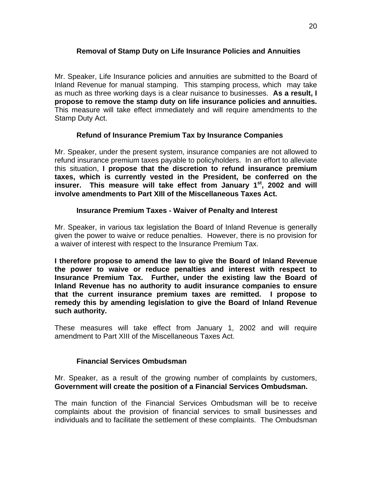## <span id="page-22-0"></span>**Removal of Stamp Duty on Life Insurance Policies and Annuities**

Mr. Speaker, Life Insurance policies and annuities are submitted to the Board of Inland Revenue for manual stamping. This stamping process, which may take as much as three working days is a clear nuisance to businesses. **As a result, I propose to remove the stamp duty on life insurance policies and annuities.** This measure will take effect immediately and will require amendments to the Stamp Duty Act.

## **Refund of Insurance Premium Tax by Insurance Companies**

Mr. Speaker, under the present system, insurance companies are not allowed to refund insurance premium taxes payable to policyholders. In an effort to alleviate this situation, **I propose that the discretion to refund insurance premium taxes, which is currently vested in the President, be conferred on the insurer. This measure will take effect from January 1st, 2002 and will involve amendments to Part XIII of the Miscellaneous Taxes Act.** 

#### **Insurance Premium Taxes - Waiver of Penalty and Interest**

Mr. Speaker, in various tax legislation the Board of Inland Revenue is generally given the power to waive or reduce penalties. However, there is no provision for a waiver of interest with respect to the Insurance Premium Tax.

**I therefore propose to amend the law to give the Board of Inland Revenue the power to waive or reduce penalties and interest with respect to Insurance Premium Tax. Further, under the existing law the Board of Inland Revenue has no authority to audit insurance companies to ensure that the current insurance premium taxes are remitted. I propose to remedy this by amending legislation to give the Board of Inland Revenue such authority.** 

These measures will take effect from January 1, 2002 and will require amendment to Part XIII of the Miscellaneous Taxes Act.

#### **Financial Services Ombudsman**

Mr. Speaker, as a result of the growing number of complaints by customers, **Government will create the position of a Financial Services Ombudsman.** 

The main function of the Financial Services Ombudsman will be to receive complaints about the provision of financial services to small businesses and individuals and to facilitate the settlement of these complaints. The Ombudsman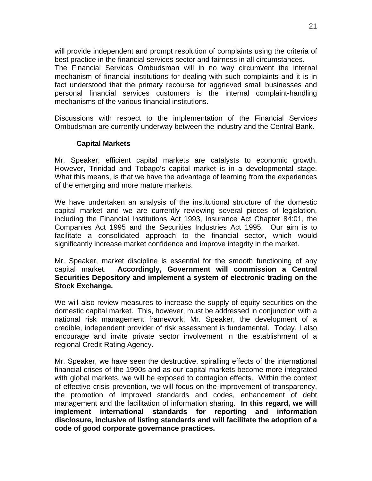<span id="page-23-0"></span>will provide independent and prompt resolution of complaints using the criteria of best practice in the financial services sector and fairness in all circumstances.

The Financial Services Ombudsman will in no way circumvent the internal mechanism of financial institutions for dealing with such complaints and it is in fact understood that the primary recourse for aggrieved small businesses and personal financial services customers is the internal complaint-handling mechanisms of the various financial institutions.

Discussions with respect to the implementation of the Financial Services Ombudsman are currently underway between the industry and the Central Bank.

#### **Capital Markets**

Mr. Speaker, efficient capital markets are catalysts to economic growth. However, Trinidad and Tobago's capital market is in a developmental stage. What this means, is that we have the advantage of learning from the experiences of the emerging and more mature markets.

We have undertaken an analysis of the institutional structure of the domestic capital market and we are currently reviewing several pieces of legislation, including the Financial Institutions Act 1993, Insurance Act Chapter 84:01, the Companies Act 1995 and the Securities Industries Act 1995. Our aim is to facilitate a consolidated approach to the financial sector, which would significantly increase market confidence and improve integrity in the market.

Mr. Speaker, market discipline is essential for the smooth functioning of any capital market. **Accordingly, Government will commission a Central Securities Depository and implement a system of electronic trading on the Stock Exchange.** 

We will also review measures to increase the supply of equity securities on the domestic capital market. This, however, must be addressed in conjunction with a national risk management framework. Mr. Speaker, the development of a credible, independent provider of risk assessment is fundamental. Today, I also encourage and invite private sector involvement in the establishment of a regional Credit Rating Agency.

Mr. Speaker, we have seen the destructive, spiralling effects of the international financial crises of the 1990s and as our capital markets become more integrated with global markets, we will be exposed to contagion effects. Within the context of effective crisis prevention, we will focus on the improvement of transparency, the promotion of improved standards and codes, enhancement of debt management and the facilitation of information sharing. **In this regard, we will implement international standards for reporting and information disclosure, inclusive of listing standards and will facilitate the adoption of a code of good corporate governance practices.**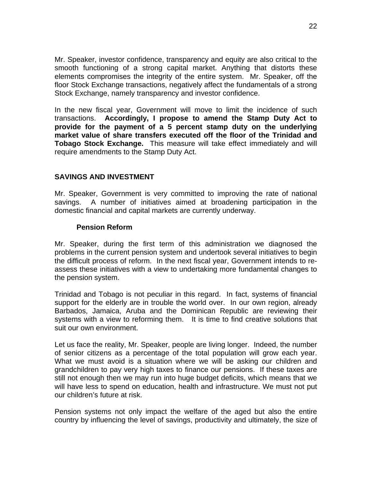<span id="page-24-0"></span>Mr. Speaker, investor confidence, transparency and equity are also critical to the smooth functioning of a strong capital market. Anything that distorts these elements compromises the integrity of the entire system. Mr. Speaker, off the floor Stock Exchange transactions, negatively affect the fundamentals of a strong Stock Exchange, namely transparency and investor confidence.

In the new fiscal year, Government will move to limit the incidence of such transactions. **Accordingly, I propose to amend the Stamp Duty Act to provide for the payment of a 5 percent stamp duty on the underlying market value of share transfers executed off the floor of the Trinidad and Tobago Stock Exchange.** This measure will take effect immediately and will require amendments to the Stamp Duty Act.

## **SAVINGS AND INVESTMENT**

Mr. Speaker, Government is very committed to improving the rate of national savings. A number of initiatives aimed at broadening participation in the domestic financial and capital markets are currently underway.

#### **Pension Reform**

Mr. Speaker, during the first term of this administration we diagnosed the problems in the current pension system and undertook several initiatives to begin the difficult process of reform. In the next fiscal year, Government intends to reassess these initiatives with a view to undertaking more fundamental changes to the pension system.

Trinidad and Tobago is not peculiar in this regard. In fact, systems of financial support for the elderly are in trouble the world over. In our own region, already Barbados, Jamaica, Aruba and the Dominican Republic are reviewing their systems with a view to reforming them. It is time to find creative solutions that suit our own environment.

Let us face the reality, Mr. Speaker, people are living longer. Indeed, the number of senior citizens as a percentage of the total population will grow each year. What we must avoid is a situation where we will be asking our children and grandchildren to pay very high taxes to finance our pensions. If these taxes are still not enough then we may run into huge budget deficits, which means that we will have less to spend on education, health and infrastructure. We must not put our children's future at risk.

Pension systems not only impact the welfare of the aged but also the entire country by influencing the level of savings, productivity and ultimately, the size of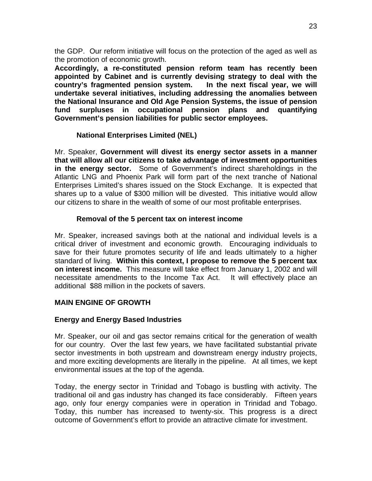<span id="page-25-0"></span>the GDP. Our reform initiative will focus on the protection of the aged as well as the promotion of economic growth.

**Accordingly, a re-constituted pension reform team has recently been appointed by Cabinet and is currently devising strategy to deal with the country's fragmented pension system. In the next fiscal year, we will undertake several initiatives, including addressing the anomalies between the National Insurance and Old Age Pension Systems, the issue of pension fund surpluses in occupational pension plans and quantifying Government's pension liabilities for public sector employees.** 

#### **National Enterprises Limited (NEL)**

Mr. Speaker, **Government will divest its energy sector assets in a manner that will allow all our citizens to take advantage of investment opportunities in the energy sector.** Some of Government's indirect shareholdings in the Atlantic LNG and Phoenix Park will form part of the next tranche of National Enterprises Limited's shares issued on the Stock Exchange. It is expected that shares up to a value of \$300 million will be divested. This initiative would allow our citizens to share in the wealth of some of our most profitable enterprises.

#### **Removal of the 5 percent tax on interest income**

Mr. Speaker, increased savings both at the national and individual levels is a critical driver of investment and economic growth. Encouraging individuals to save for their future promotes security of life and leads ultimately to a higher standard of living. **Within this context, I propose to remove the 5 percent tax on interest income.** This measure will take effect from January 1, 2002 and will necessitate amendments to the Income Tax Act. It will effectively place an additional \$88 million in the pockets of savers.

#### **MAIN ENGINE OF GROWTH**

#### **Energy and Energy Based Industries**

Mr. Speaker, our oil and gas sector remains critical for the generation of wealth for our country. Over the last few years, we have facilitated substantial private sector investments in both upstream and downstream energy industry projects, and more exciting developments are literally in the pipeline. At all times, we kept environmental issues at the top of the agenda.

Today, the energy sector in Trinidad and Tobago is bustling with activity. The traditional oil and gas industry has changed its face considerably. Fifteen years ago, only four energy companies were in operation in Trinidad and Tobago. Today, this number has increased to twenty-six. This progress is a direct outcome of Government's effort to provide an attractive climate for investment.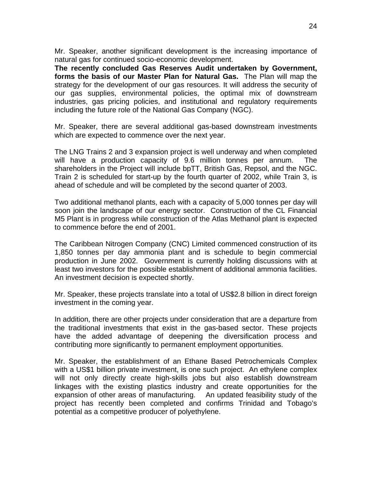Mr. Speaker, another significant development is the increasing importance of natural gas for continued socio-economic development.

**The recently concluded Gas Reserves Audit undertaken by Government, forms the basis of our Master Plan for Natural Gas.** The Plan will map the strategy for the development of our gas resources. It will address the security of our gas supplies, environmental policies, the optimal mix of downstream industries, gas pricing policies, and institutional and regulatory requirements including the future role of the National Gas Company (NGC).

Mr. Speaker, there are several additional gas-based downstream investments which are expected to commence over the next year.

The LNG Trains 2 and 3 expansion project is well underway and when completed will have a production capacity of 9.6 million tonnes per annum. The shareholders in the Project will include bpTT, British Gas, Repsol, and the NGC. Train 2 is scheduled for start-up by the fourth quarter of 2002, while Train 3, is ahead of schedule and will be completed by the second quarter of 2003.

Two additional methanol plants, each with a capacity of 5,000 tonnes per day will soon join the landscape of our energy sector. Construction of the CL Financial M5 Plant is in progress while construction of the Atlas Methanol plant is expected to commence before the end of 2001.

The Caribbean Nitrogen Company (CNC) Limited commenced construction of its 1,850 tonnes per day ammonia plant and is schedule to begin commercial production in June 2002. Government is currently holding discussions with at least two investors for the possible establishment of additional ammonia facilities. An investment decision is expected shortly.

Mr. Speaker, these projects translate into a total of US\$2.8 billion in direct foreign investment in the coming year.

In addition, there are other projects under consideration that are a departure from the traditional investments that exist in the gas-based sector. These projects have the added advantage of deepening the diversification process and contributing more significantly to permanent employment opportunities.

Mr. Speaker, the establishment of an Ethane Based Petrochemicals Complex with a US\$1 billion private investment, is one such project. An ethylene complex will not only directly create high-skills jobs but also establish downstream linkages with the existing plastics industry and create opportunities for the expansion of other areas of manufacturing. An updated feasibility study of the project has recently been completed and confirms Trinidad and Tobago's potential as a competitive producer of polyethylene.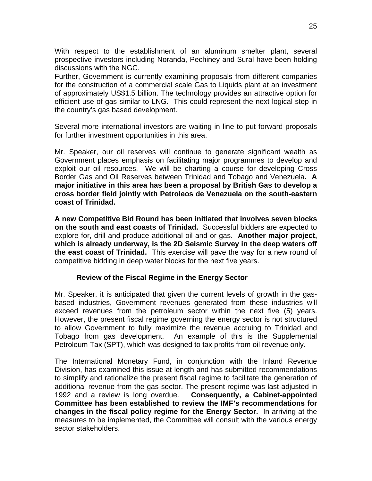<span id="page-27-0"></span>With respect to the establishment of an aluminum smelter plant, several prospective investors including Noranda, Pechiney and Sural have been holding discussions with the NGC.

Further, Government is currently examining proposals from different companies for the construction of a commercial scale Gas to Liquids plant at an investment of approximately US\$1.5 billion. The technology provides an attractive option for efficient use of gas similar to LNG. This could represent the next logical step in the country's gas based development.

Several more international investors are waiting in line to put forward proposals for further investment opportunities in this area.

Mr. Speaker, our oil reserves will continue to generate significant wealth as Government places emphasis on facilitating major programmes to develop and exploit our oil resources. We will be charting a course for developing Cross Border Gas and Oil Reserves between Trinidad and Tobago and Venezuela**. A major initiative in this area has been a proposal by British Gas to develop a cross border field jointly with Petroleos de Venezuela on the south-eastern coast of Trinidad.**

**A new Competitive Bid Round has been initiated that involves seven blocks on the south and east coasts of Trinidad.** Successful bidders are expected to explore for, drill and produce additional oil and or gas. **Another major project, which is already underway, is the 2D Seismic Survey in the deep waters off the east coast of Trinidad.** This exercise will pave the way for a new round of competitive bidding in deep water blocks for the next five years.

#### **Review of the Fiscal Regime in the Energy Sector**

Mr. Speaker, it is anticipated that given the current levels of growth in the gasbased industries, Government revenues generated from these industries will exceed revenues from the petroleum sector within the next five (5) years. However, the present fiscal regime governing the energy sector is not structured to allow Government to fully maximize the revenue accruing to Trinidad and Tobago from gas development. An example of this is the Supplemental Petroleum Tax (SPT), which was designed to tax profits from oil revenue only.

The International Monetary Fund, in conjunction with the Inland Revenue Division, has examined this issue at length and has submitted recommendations to simplify and rationalize the present fiscal regime to facilitate the generation of additional revenue from the gas sector. The present regime was last adjusted in 1992 and a review is long overdue. **Consequently, a Cabinet-appointed Committee has been established to review the IMF's recommendations for changes in the fiscal policy regime for the Energy Sector.** In arriving at the measures to be implemented, the Committee will consult with the various energy sector stakeholders.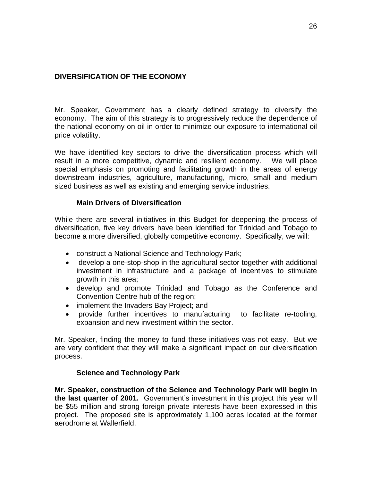## <span id="page-28-0"></span>**DIVERSIFICATION OF THE ECONOMY**

Mr. Speaker, Government has a clearly defined strategy to diversify the economy. The aim of this strategy is to progressively reduce the dependence of the national economy on oil in order to minimize our exposure to international oil price volatility.

We have identified key sectors to drive the diversification process which will result in a more competitive, dynamic and resilient economy. We will place special emphasis on promoting and facilitating growth in the areas of energy downstream industries, agriculture, manufacturing, micro, small and medium sized business as well as existing and emerging service industries.

## **Main Drivers of Diversification**

While there are several initiatives in this Budget for deepening the process of diversification, five key drivers have been identified for Trinidad and Tobago to become a more diversified, globally competitive economy. Specifically, we will:

- construct a National Science and Technology Park;
- develop a one-stop-shop in the agricultural sector together with additional investment in infrastructure and a package of incentives to stimulate growth in this area;
- develop and promote Trinidad and Tobago as the Conference and Convention Centre hub of the region;
- implement the Invaders Bay Project; and
- provide further incentives to manufacturing to facilitate re-tooling, expansion and new investment within the sector.

Mr. Speaker, finding the money to fund these initiatives was not easy. But we are very confident that they will make a significant impact on our diversification process.

#### **Science and Technology Park**

**Mr. Speaker, construction of the Science and Technology Park will begin in the last quarter of 2001.** Government's investment in this project this year will be \$55 million and strong foreign private interests have been expressed in this project. The proposed site is approximately 1,100 acres located at the former aerodrome at Wallerfield.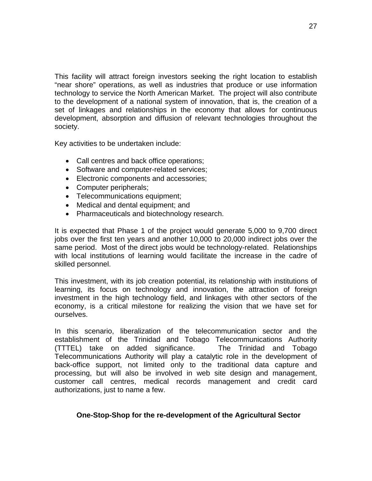<span id="page-29-0"></span>This facility will attract foreign investors seeking the right location to establish "near shore" operations, as well as industries that produce or use information technology to service the North American Market. The project will also contribute to the development of a national system of innovation, that is, the creation of a set of linkages and relationships in the economy that allows for continuous development, absorption and diffusion of relevant technologies throughout the society.

Key activities to be undertaken include:

- Call centres and back office operations;
- Software and computer-related services;
- Electronic components and accessories;
- Computer peripherals;
- Telecommunications equipment;
- Medical and dental equipment; and
- Pharmaceuticals and biotechnology research.

It is expected that Phase 1 of the project would generate 5,000 to 9,700 direct jobs over the first ten years and another 10,000 to 20,000 indirect jobs over the same period. Most of the direct jobs would be technology-related. Relationships with local institutions of learning would facilitate the increase in the cadre of skilled personnel.

This investment, with its job creation potential, its relationship with institutions of learning, its focus on technology and innovation, the attraction of foreign investment in the high technology field, and linkages with other sectors of the economy, is a critical milestone for realizing the vision that we have set for ourselves.

In this scenario, liberalization of the telecommunication sector and the establishment of the Trinidad and Tobago Telecommunications Authority (TTTEL) take on added significance. The Trinidad and Tobago Telecommunications Authority will play a catalytic role in the development of back-office support, not limited only to the traditional data capture and processing, but will also be involved in web site design and management, customer call centres, medical records management and credit card authorizations, just to name a few.

#### **One-Stop-Shop for the re-development of the Agricultural Sector**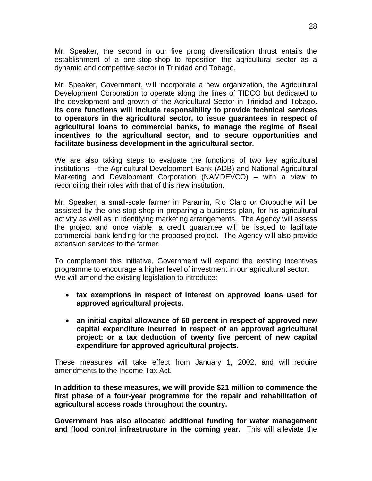Mr. Speaker, the second in our five prong diversification thrust entails the establishment of a one-stop-shop to reposition the agricultural sector as a dynamic and competitive sector in Trinidad and Tobago.

Mr. Speaker, Government, will incorporate a new organization, the Agricultural Development Corporation to operate along the lines of TIDCO but dedicated to the development and growth of the Agricultural Sector in Trinidad and Tobago**. Its core functions will include responsibility to provide technical services to operators in the agricultural sector, to issue guarantees in respect of agricultural loans to commercial banks, to manage the regime of fiscal incentives to the agricultural sector, and to secure opportunities and facilitate business development in the agricultural sector.**

We are also taking steps to evaluate the functions of two key agricultural institutions – the Agricultural Development Bank (ADB) and National Agricultural Marketing and Development Corporation (NAMDEVCO) – with a view to reconciling their roles with that of this new institution.

Mr. Speaker, a small-scale farmer in Paramin, Rio Claro or Oropuche will be assisted by the one-stop-shop in preparing a business plan, for his agricultural activity as well as in identifying marketing arrangements. The Agency will assess the project and once viable, a credit guarantee will be issued to facilitate commercial bank lending for the proposed project. The Agency will also provide extension services to the farmer.

To complement this initiative, Government will expand the existing incentives programme to encourage a higher level of investment in our agricultural sector. We will amend the existing legislation to introduce:

- **tax exemptions in respect of interest on approved loans used for approved agricultural projects.**
- **an initial capital allowance of 60 percent in respect of approved new capital expenditure incurred in respect of an approved agricultural project; or a tax deduction of twenty five percent of new capital expenditure for approved agricultural projects.**

These measures will take effect from January 1, 2002, and will require amendments to the Income Tax Act.

**In addition to these measures, we will provide \$21 million to commence the first phase of a four-year programme for the repair and rehabilitation of agricultural access roads throughout the country.** 

**Government has also allocated additional funding for water management and flood control infrastructure in the coming year.** This will alleviate the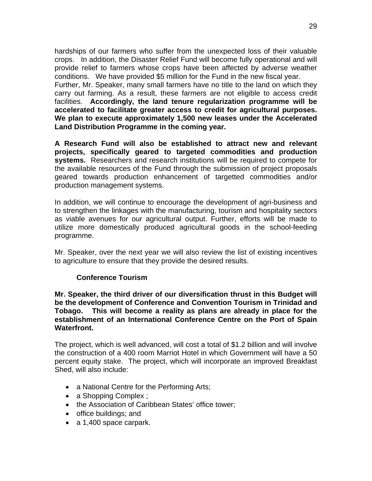<span id="page-31-0"></span>hardships of our farmers who suffer from the unexpected loss of their valuable crops. In addition, the Disaster Relief Fund will become fully operational and will provide relief to farmers whose crops have been affected by adverse weather conditions. We have provided \$5 million for the Fund in the new fiscal year.

Further, Mr. Speaker, many small farmers have no title to the land on which they carry out farming. As a result, these farmers are not eligible to access credit facilities. **Accordingly, the land tenure regularization programme will be accelerated to facilitate greater access to credit for agricultural purposes. We plan to execute approximately 1,500 new leases under the Accelerated Land Distribution Programme in the coming year.** 

**A Research Fund will also be established to attract new and relevant projects, specifically geared to targeted commodities and production systems.** Researchers and research institutions will be required to compete for the available resources of the Fund through the submission of project proposals geared towards production enhancement of targetted commodities and/or production management systems.

In addition, we will continue to encourage the development of agri-business and to strengthen the linkages with the manufacturing, tourism and hospitality sectors as viable avenues for our agricultural output. Further, efforts will be made to utilize more domestically produced agricultural goods in the school-feeding programme.

Mr. Speaker, over the next year we will also review the list of existing incentives to agriculture to ensure that they provide the desired results.

#### **Conference Tourism**

**Mr. Speaker, the third driver of our diversification thrust in this Budget will be the development of Conference and Convention Tourism in Trinidad and Tobago. This will become a reality as plans are already in place for the establishment of an International Conference Centre on the Port of Spain Waterfront.** 

The project, which is well advanced, will cost a total of \$1.2 billion and will involve the construction of a 400 room Marriot Hotel in which Government will have a 50 percent equity stake. The project, which will incorporate an improved Breakfast Shed, will also include:

- a National Centre for the Performing Arts;
- a Shopping Complex ;
- the Association of Caribbean States' office tower;
- office buildings; and
- a 1,400 space carpark.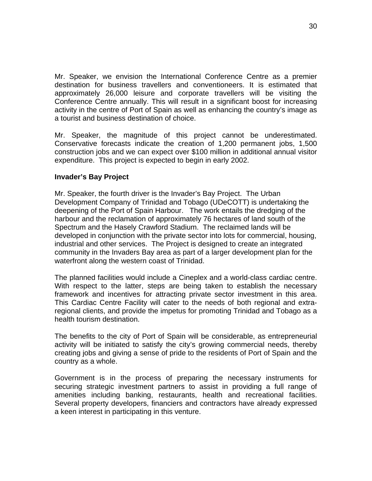<span id="page-32-0"></span>Mr. Speaker, we envision the International Conference Centre as a premier destination for business travellers and conventioneers. It is estimated that approximately 26,000 leisure and corporate travellers will be visiting the Conference Centre annually. This will result in a significant boost for increasing activity in the centre of Port of Spain as well as enhancing the country's image as a tourist and business destination of choice.

Mr. Speaker, the magnitude of this project cannot be underestimated. Conservative forecasts indicate the creation of 1,200 permanent jobs, 1,500 construction jobs and we can expect over \$100 million in additional annual visitor expenditure. This project is expected to begin in early 2002.

#### **Invader's Bay Project**

Mr. Speaker, the fourth driver is the Invader's Bay Project. The Urban Development Company of Trinidad and Tobago (UDeCOTT) is undertaking the deepening of the Port of Spain Harbour. The work entails the dredging of the harbour and the reclamation of approximately 76 hectares of land south of the Spectrum and the Hasely Crawford Stadium. The reclaimed lands will be developed in conjunction with the private sector into lots for commercial, housing, industrial and other services. The Project is designed to create an integrated community in the Invaders Bay area as part of a larger development plan for the waterfront along the western coast of Trinidad.

The planned facilities would include a Cineplex and a world-class cardiac centre. With respect to the latter, steps are being taken to establish the necessary framework and incentives for attracting private sector investment in this area. This Cardiac Centre Facility will cater to the needs of both regional and extraregional clients, and provide the impetus for promoting Trinidad and Tobago as a health tourism destination.

The benefits to the city of Port of Spain will be considerable, as entrepreneurial activity will be initiated to satisfy the city's growing commercial needs, thereby creating jobs and giving a sense of pride to the residents of Port of Spain and the country as a whole.

Government is in the process of preparing the necessary instruments for securing strategic investment partners to assist in providing a full range of amenities including banking, restaurants, health and recreational facilities. Several property developers, financiers and contractors have already expressed a keen interest in participating in this venture.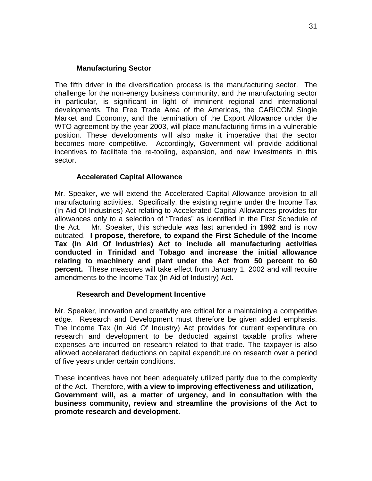### **Manufacturing Sector**

<span id="page-33-0"></span>The fifth driver in the diversification process is the manufacturing sector. The challenge for the non-energy business community, and the manufacturing sector in particular, is significant in light of imminent regional and international developments. The Free Trade Area of the Americas, the CARICOM Single Market and Economy, and the termination of the Export Allowance under the WTO agreement by the year 2003, will place manufacturing firms in a vulnerable position. These developments will also make it imperative that the sector becomes more competitive. Accordingly, Government will provide additional incentives to facilitate the re-tooling, expansion, and new investments in this sector.

## **Accelerated Capital Allowance**

Mr. Speaker, we will extend the Accelerated Capital Allowance provision to all manufacturing activities. Specifically, the existing regime under the Income Tax (In Aid Of Industries) Act relating to Accelerated Capital Allowances provides for allowances only to a selection of "Trades" as identified in the First Schedule of the Act. Mr. Speaker, this schedule was last amended in **1992** and is now outdated. **I propose, therefore, to expand the First Schedule of the Income Tax (In Aid Of Industries) Act to include all manufacturing activities conducted in Trinidad and Tobago and increase the initial allowance relating to machinery and plant under the Act from 50 percent to 60 percent.** These measures will take effect from January 1, 2002 and will require amendments to the Income Tax (In Aid of Industry) Act.

#### **Research and Development Incentive**

Mr. Speaker, innovation and creativity are critical for a maintaining a competitive edge. Research and Development must therefore be given added emphasis. The Income Tax (In Aid Of Industry) Act provides for current expenditure on research and development to be deducted against taxable profits where expenses are incurred on research related to that trade. The taxpayer is also allowed accelerated deductions on capital expenditure on research over a period of five years under certain conditions.

These incentives have not been adequately utilized partly due to the complexity of the Act. Therefore, **with a view to improving effectiveness and utilization, Government will, as a matter of urgency, and in consultation with the business community, review and streamline the provisions of the Act to promote research and development.**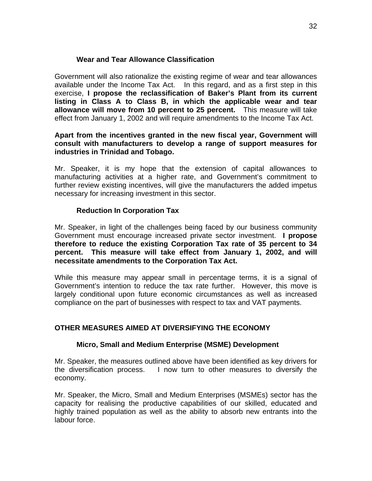### **Wear and Tear Allowance Classification**

<span id="page-34-0"></span>Government will also rationalize the existing regime of wear and tear allowances available under the Income Tax Act. In this regard, and as a first step in this exercise, **I propose the reclassification of Baker's Plant from its current listing in Class A to Class B, in which the applicable wear and tear allowance will move from 10 percent to 25 percent.** This measure will take effect from January 1, 2002 and will require amendments to the Income Tax Act.

#### **Apart from the incentives granted in the new fiscal year, Government will consult with manufacturers to develop a range of support measures for industries in Trinidad and Tobago.**

Mr. Speaker, it is my hope that the extension of capital allowances to manufacturing activities at a higher rate, and Government's commitment to further review existing incentives, will give the manufacturers the added impetus necessary for increasing investment in this sector.

## **Reduction In Corporation Tax**

Mr. Speaker, in light of the challenges being faced by our business community Government must encourage increased private sector investment. **I propose therefore to reduce the existing Corporation Tax rate of 35 percent to 34 percent. This measure will take effect from January 1, 2002, and will necessitate amendments to the Corporation Tax Act.** 

While this measure may appear small in percentage terms, it is a signal of Government's intention to reduce the tax rate further. However, this move is largely conditional upon future economic circumstances as well as increased compliance on the part of businesses with respect to tax and VAT payments.

## **OTHER MEASURES AIMED AT DIVERSIFYING THE ECONOMY**

#### **Micro, Small and Medium Enterprise (MSME) Development**

Mr. Speaker, the measures outlined above have been identified as key drivers for the diversification process. I now turn to other measures to diversify the economy.

Mr. Speaker, the Micro, Small and Medium Enterprises (MSMEs) sector has the capacity for realising the productive capabilities of our skilled, educated and highly trained population as well as the ability to absorb new entrants into the labour force.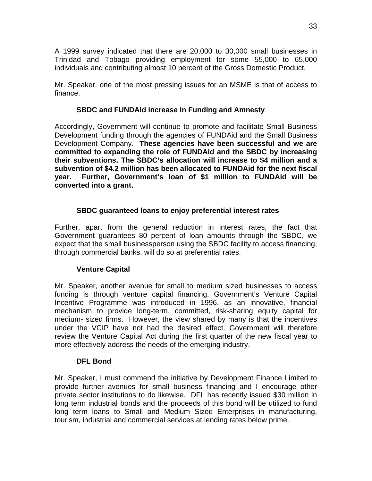<span id="page-35-0"></span>A 1999 survey indicated that there are 20,000 to 30,000 small businesses in Trinidad and Tobago providing employment for some 55,000 to 65,000 individuals and contributing almost 10 percent of the Gross Domestic Product.

Mr. Speaker, one of the most pressing issues for an MSME is that of access to finance.

## **SBDC and FUNDAid increase in Funding and Amnesty**

Accordingly, Government will continue to promote and facilitate Small Business Development funding through the agencies of FUNDAid and the Small Business Development Company. **These agencies have been successful and we are committed to expanding the role of FUNDAid and the SBDC by increasing their subventions. The SBDC's allocation will increase to \$4 million and a subvention of \$4.2 million has been allocated to FUNDAid for the next fiscal year. Further, Government's loan of \$1 million to FUNDAid will be converted into a grant.** 

## **SBDC guaranteed loans to enjoy preferential interest rates**

Further, apart from the general reduction in interest rates, the fact that Government guarantees 80 percent of loan amounts through the SBDC, we expect that the small businessperson using the SBDC facility to access financing, through commercial banks, will do so at preferential rates.

## **Venture Capital**

Mr. Speaker, another avenue for small to medium sized businesses to access funding is through venture capital financing. Government's Venture Capital Incentive Programme was introduced in 1996, as an innovative, financial mechanism to provide long-term, committed, risk-sharing equity capital for medium- sized firms. However, the view shared by many is that the incentives under the VCIP have not had the desired effect. Government will therefore review the Venture Capital Act during the first quarter of the new fiscal year to more effectively address the needs of the emerging industry.

## **DFL Bond**

Mr. Speaker, I must commend the initiative by Development Finance Limited to provide further avenues for small business financing and I encourage other private sector institutions to do likewise. DFL has recently issued \$30 million in long term industrial bonds and the proceeds of this bond will be utilized to fund long term loans to Small and Medium Sized Enterprises in manufacturing, tourism, industrial and commercial services at lending rates below prime.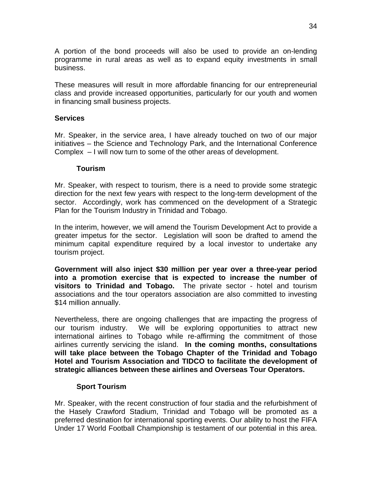<span id="page-36-0"></span>A portion of the bond proceeds will also be used to provide an on-lending programme in rural areas as well as to expand equity investments in small business.

These measures will result in more affordable financing for our entrepreneurial class and provide increased opportunities, particularly for our youth and women in financing small business projects.

#### **Services**

Mr. Speaker, in the service area, I have already touched on two of our major initiatives – the Science and Technology Park, and the International Conference Complex – I will now turn to some of the other areas of development.

#### **Tourism**

Mr. Speaker, with respect to tourism, there is a need to provide some strategic direction for the next few years with respect to the long-term development of the sector. Accordingly, work has commenced on the development of a Strategic Plan for the Tourism Industry in Trinidad and Tobago.

In the interim, however, we will amend the Tourism Development Act to provide a greater impetus for the sector. Legislation will soon be drafted to amend the minimum capital expenditure required by a local investor to undertake any tourism project.

**Government will also inject \$30 million per year over a three-year period into a promotion exercise that is expected to increase the number of visitors to Trinidad and Tobago.** The private sector - hotel and tourism associations and the tour operators association are also committed to investing \$14 million annually.

Nevertheless, there are ongoing challenges that are impacting the progress of our tourism industry. We will be exploring opportunities to attract new international airlines to Tobago while re-affirming the commitment of those airlines currently servicing the island. **In the coming months, consultations will take place between the Tobago Chapter of the Trinidad and Tobago Hotel and Tourism Association and TIDCO to facilitate the development of strategic alliances between these airlines and Overseas Tour Operators.** 

#### **Sport Tourism**

Mr. Speaker, with the recent construction of four stadia and the refurbishment of the Hasely Crawford Stadium, Trinidad and Tobago will be promoted as a preferred destination for international sporting events. Our ability to host the FIFA Under 17 World Football Championship is testament of our potential in this area.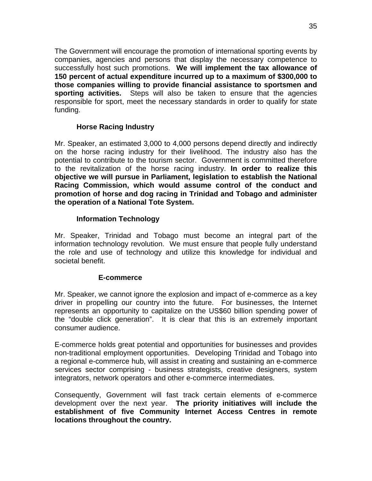<span id="page-37-0"></span>The Government will encourage the promotion of international sporting events by companies, agencies and persons that display the necessary competence to successfully host such promotions. **We will implement the tax allowance of 150 percent of actual expenditure incurred up to a maximum of \$300,000 to those companies willing to provide financial assistance to sportsmen and sporting activities.** Steps will also be taken to ensure that the agencies responsible for sport, meet the necessary standards in order to qualify for state funding.

## **Horse Racing Industry**

Mr. Speaker, an estimated 3,000 to 4,000 persons depend directly and indirectly on the horse racing industry for their livelihood. The industry also has the potential to contribute to the tourism sector. Government is committed therefore to the revitalization of the horse racing industry. **In order to realize this objective we will pursue in Parliament, legislation to establish the National Racing Commission, which would assume control of the conduct and promotion of horse and dog racing in Trinidad and Tobago and administer the operation of a National Tote System.** 

#### **Information Technology**

Mr. Speaker, Trinidad and Tobago must become an integral part of the information technology revolution. We must ensure that people fully understand the role and use of technology and utilize this knowledge for individual and societal benefit.

#### **E-commerce**

Mr. Speaker, we cannot ignore the explosion and impact of e-commerce as a key driver in propelling our country into the future. For businesses, the Internet represents an opportunity to capitalize on the US\$60 billion spending power of the "double click generation". It is clear that this is an extremely important consumer audience.

E-commerce holds great potential and opportunities for businesses and provides non-traditional employment opportunities. Developing Trinidad and Tobago into a regional e-commerce hub, will assist in creating and sustaining an e-commerce services sector comprising - business strategists, creative designers, system integrators, network operators and other e-commerce intermediates.

Consequently, Government will fast track certain elements of e-commerce development over the next year. **The priority initiatives will include the establishment of five Community Internet Access Centres in remote locations throughout the country.**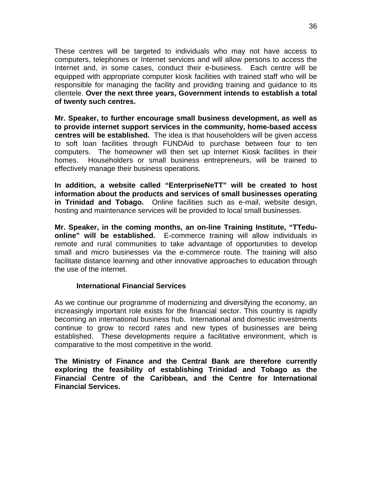<span id="page-38-0"></span>These centres will be targeted to individuals who may not have access to computers, telephones or Internet services and will allow persons to access the Internet and, in some cases, conduct their e-business. Each centre will be equipped with appropriate computer kiosk facilities with trained staff who will be responsible for managing the facility and providing training and guidance to its clientele. **Over the next three years, Government intends to establish a total of twenty such centres.** 

**Mr. Speaker, to further encourage small business development, as well as to provide internet support services in the community, home-based access centres will be established.** The idea is that householders will be given access to soft loan facilities through FUNDAid to purchase between four to ten computers. The homeowner will then set up Internet Kiosk facilities in their homes. Householders or small business entrepreneurs, will be trained to effectively manage their business operations.

**In addition, a website called "EnterpriseNeTT" will be created to host information about the products and services of small businesses operating in Trinidad and Tobago.** Online facilities such as e-mail, website design, hosting and maintenance services will be provided to local small businesses.

**Mr. Speaker, in the coming months, an on-line Training Institute, "TTeduonline" will be established.** E-commerce training will allow individuals in remote and rural communities to take advantage of opportunities to develop small and micro businesses via the e-commerce route. The training will also facilitate distance learning and other innovative approaches to education through the use of the internet.

#### **International Financial Services**

As we continue our programme of modernizing and diversifying the economy, an increasingly important role exists for the financial sector. This country is rapidly becoming an international business hub. International and domestic investments continue to grow to record rates and new types of businesses are being established. These developments require a facilitative environment, which is comparative to the most competitive in the world.

**The Ministry of Finance and the Central Bank are therefore currently exploring the feasibility of establishing Trinidad and Tobago as the Financial Centre of the Caribbean, and the Centre for International Financial Services.**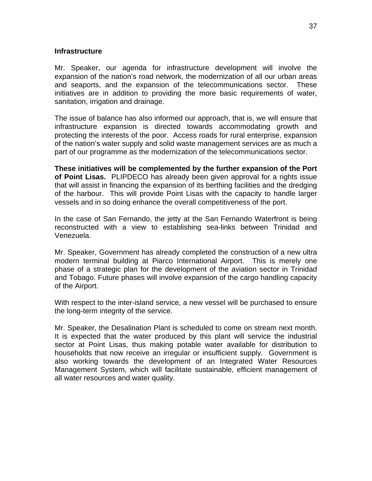#### <span id="page-39-0"></span>**Infrastructure**

Mr. Speaker, our agenda for infrastructure development will involve the expansion of the nation's road network, the modernization of all our urban areas and seaports, and the expansion of the telecommunications sector. These initiatives are in addition to providing the more basic requirements of water, sanitation, irrigation and drainage.

The issue of balance has also informed our approach, that is, we will ensure that infrastructure expansion is directed towards accommodating growth and protecting the interests of the poor. Access roads for rural enterprise, expansion of the nation's water supply and solid waste management services are as much a part of our programme as the modernization of the telecommunications sector.

**These initiatives will be complemented by the further expansion of the Port of Point Lisas.** PLIPDECO has already been given approval for a rights issue that will assist in financing the expansion of its berthing facilities and the dredging of the harbour. This will provide Point Lisas with the capacity to handle larger vessels and in so doing enhance the overall competitiveness of the port.

In the case of San Fernando, the jetty at the San Fernando Waterfront is being reconstructed with a view to establishing sea-links between Trinidad and Venezuela.

Mr. Speaker, Government has already completed the construction of a new ultra modern terminal building at Piarco International Airport. This is merely one phase of a strategic plan for the development of the aviation sector in Trinidad and Tobago. Future phases will involve expansion of the cargo handling capacity of the Airport.

With respect to the inter-island service, a new vessel will be purchased to ensure the long-term integrity of the service.

Mr. Speaker, the Desalination Plant is scheduled to come on stream next month. It is expected that the water produced by this plant will service the industrial sector at Point Lisas, thus making potable water available for distribution to households that now receive an irregular or insufficient supply. Government is also working towards the development of an Integrated Water Resources Management System, which will facilitate sustainable, efficient management of all water resources and water quality.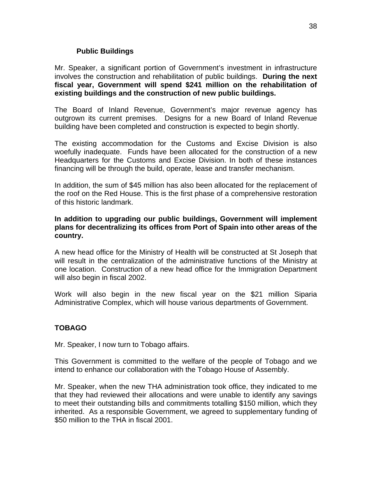## **Public Buildings**

<span id="page-40-0"></span>Mr. Speaker, a significant portion of Government's investment in infrastructure involves the construction and rehabilitation of public buildings. **During the next fiscal year, Government will spend \$241 million on the rehabilitation of existing buildings and the construction of new public buildings.** 

The Board of Inland Revenue, Government's major revenue agency has outgrown its current premises. Designs for a new Board of Inland Revenue building have been completed and construction is expected to begin shortly.

The existing accommodation for the Customs and Excise Division is also woefully inadequate. Funds have been allocated for the construction of a new Headquarters for the Customs and Excise Division. In both of these instances financing will be through the build, operate, lease and transfer mechanism.

In addition, the sum of \$45 million has also been allocated for the replacement of the roof on the Red House. This is the first phase of a comprehensive restoration of this historic landmark.

#### **In addition to upgrading our public buildings, Government will implement plans for decentralizing its offices from Port of Spain into other areas of the country.**

A new head office for the Ministry of Health will be constructed at St Joseph that will result in the centralization of the administrative functions of the Ministry at one location. Construction of a new head office for the Immigration Department will also begin in fiscal 2002.

Work will also begin in the new fiscal year on the \$21 million Siparia Administrative Complex, which will house various departments of Government.

## **TOBAGO**

Mr. Speaker, I now turn to Tobago affairs.

This Government is committed to the welfare of the people of Tobago and we intend to enhance our collaboration with the Tobago House of Assembly.

Mr. Speaker, when the new THA administration took office, they indicated to me that they had reviewed their allocations and were unable to identify any savings to meet their outstanding bills and commitments totalling \$150 million, which they inherited. As a responsible Government, we agreed to supplementary funding of \$50 million to the THA in fiscal 2001.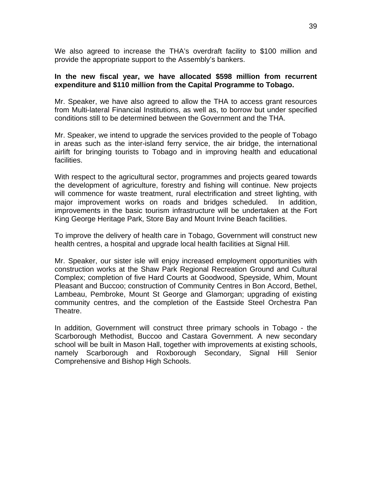We also agreed to increase the THA's overdraft facility to \$100 million and provide the appropriate support to the Assembly's bankers.

#### **In the new fiscal year, we have allocated \$598 million from recurrent expenditure and \$110 million from the Capital Programme to Tobago.**

Mr. Speaker, we have also agreed to allow the THA to access grant resources from Multi-lateral Financial Institutions, as well as, to borrow but under specified conditions still to be determined between the Government and the THA.

Mr. Speaker, we intend to upgrade the services provided to the people of Tobago in areas such as the inter-island ferry service, the air bridge, the international airlift for bringing tourists to Tobago and in improving health and educational facilities.

With respect to the agricultural sector, programmes and projects geared towards the development of agriculture, forestry and fishing will continue. New projects will commence for waste treatment, rural electrification and street lighting, with major improvement works on roads and bridges scheduled. In addition, improvements in the basic tourism infrastructure will be undertaken at the Fort King George Heritage Park, Store Bay and Mount Irvine Beach facilities.

To improve the delivery of health care in Tobago, Government will construct new health centres, a hospital and upgrade local health facilities at Signal Hill.

Mr. Speaker, our sister isle will enjoy increased employment opportunities with construction works at the Shaw Park Regional Recreation Ground and Cultural Complex; completion of five Hard Courts at Goodwood, Speyside, Whim, Mount Pleasant and Buccoo; construction of Community Centres in Bon Accord, Bethel, Lambeau, Pembroke, Mount St George and Glamorgan; upgrading of existing community centres, and the completion of the Eastside Steel Orchestra Pan Theatre.

In addition, Government will construct three primary schools in Tobago - the Scarborough Methodist, Buccoo and Castara Government. A new secondary school will be built in Mason Hall, together with improvements at existing schools, namely Scarborough and Roxborough Secondary, Signal Hill Senior Comprehensive and Bishop High Schools.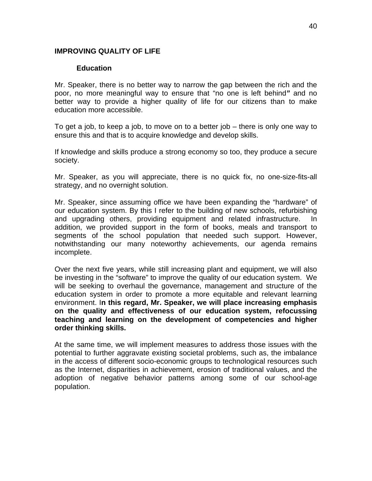#### <span id="page-42-0"></span>**IMPROVING QUALITY OF LIFE**

#### **Education**

Mr. Speaker, there is no better way to narrow the gap between the rich and the poor, no more meaningful way to ensure that "no one is left behind*"* and no better way to provide a higher quality of life for our citizens than to make education more accessible.

To get a job, to keep a job, to move on to a better job – there is only one way to ensure this and that is to acquire knowledge and develop skills.

If knowledge and skills produce a strong economy so too, they produce a secure society.

Mr. Speaker, as you will appreciate, there is no quick fix, no one-size-fits-all strategy, and no overnight solution.

Mr. Speaker, since assuming office we have been expanding the "hardware" of our education system. By this I refer to the building of new schools, refurbishing and upgrading others, providing equipment and related infrastructure. In addition, we provided support in the form of books, meals and transport to segments of the school population that needed such support. However, notwithstanding our many noteworthy achievements, our agenda remains incomplete.

Over the next five years, while still increasing plant and equipment, we will also be investing in the "software" to improve the quality of our education system. We will be seeking to overhaul the governance, management and structure of the education system in order to promote a more equitable and relevant learning environment. I**n this regard, Mr. Speaker, we will place increasing emphasis on the quality and effectiveness of our education system, refocussing teaching and learning on the development of competencies and higher order thinking skills.** 

At the same time, we will implement measures to address those issues with the potential to further aggravate existing societal problems, such as, the imbalance in the access of different socio-economic groups to technological resources such as the Internet, disparities in achievement, erosion of traditional values, and the adoption of negative behavior patterns among some of our school-age population.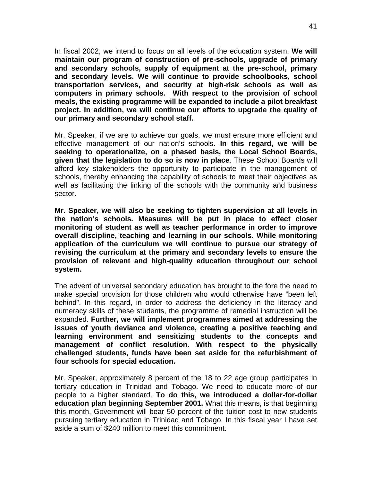In fiscal 2002, we intend to focus on all levels of the education system. **We will maintain our program of construction of pre-schools, upgrade of primary and secondary schools, supply of equipment at the pre-school, primary and secondary levels. We will continue to provide schoolbooks, school transportation services, and security at high-risk schools as well as computers in primary schools. With respect to the provision of school meals, the existing programme will be expanded to include a pilot breakfast project. In addition, we will continue our efforts to upgrade the quality of our primary and secondary school staff.** 

Mr. Speaker, if we are to achieve our goals, we must ensure more efficient and effective management of our nation's schools. **In this regard, we will be seeking to operationalize, on a phased basis, the Local School Boards, given that the legislation to do so is now in place**. These School Boards will afford key stakeholders the opportunity to participate in the management of schools, thereby enhancing the capability of schools to meet their objectives as well as facilitating the linking of the schools with the community and business sector.

**Mr. Speaker, we will also be seeking to tighten supervision at all levels in the nation's schools. Measures will be put in place to effect closer monitoring of student as well as teacher performance in order to improve overall discipline, teaching and learning in our schools. While monitoring application of the curriculum we will continue to pursue our strategy of revising the curriculum at the primary and secondary levels to ensure the provision of relevant and high-quality education throughout our school system.** 

The advent of universal secondary education has brought to the fore the need to make special provision for those children who would otherwise have "been left behind". In this regard, in order to address the deficiency in the literacy and numeracy skills of these students, the programme of remedial instruction will be expanded. **Further, we will implement programmes aimed at addressing the issues of youth deviance and violence, creating a positive teaching and learning environment and sensitizing students to the concepts and management of conflict resolution. With respect to the physically challenged students, funds have been set aside for the refurbishment of four schools for special education.** 

Mr. Speaker, approximately 8 percent of the 18 to 22 age group participates in tertiary education in Trinidad and Tobago. We need to educate more of our people to a higher standard. **To do this, we introduced a dollar-for-dollar education plan beginning September 2001.** What this means, is that beginning this month, Government will bear 50 percent of the tuition cost to new students pursuing tertiary education in Trinidad and Tobago. In this fiscal year I have set aside a sum of \$240 million to meet this commitment.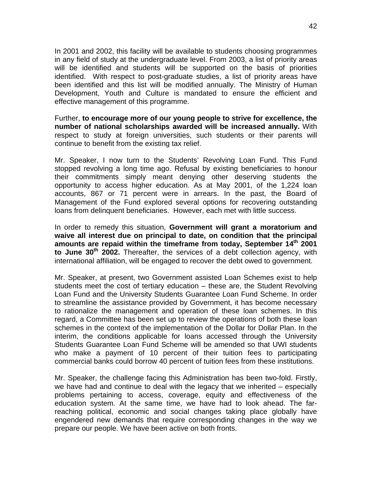In 2001 and 2002, this facility will be available to students choosing programmes in any field of study at the undergraduate level. From 2003, a list of priority areas will be identified and students will be supported on the basis of priorities identified. With respect to post-graduate studies, a list of priority areas have been identified and this list will be modified annually. The Ministry of Human Development, Youth and Culture is mandated to ensure the efficient and effective management of this programme.

Further, **to encourage more of our young people to strive for excellence, the number of national scholarships awarded will be increased annually.** With respect to study at foreign universities, such students or their parents will continue to benefit from the existing tax relief.

Mr. Speaker, I now turn to the Students' Revolving Loan Fund. This Fund stopped revolving a long time ago. Refusal by existing beneficiaries to honour their commitments simply meant denying other deserving students the opportunity to access higher education. As at May 2001, of the 1,224 loan accounts, 867 or 71 percent were in arrears. In the past, the Board of Management of the Fund explored several options for recovering outstanding loans from delinquent beneficiaries. However, each met with little success.

In order to remedy this situation, **Government will grant a moratorium and waive all interest due on principal to date, on condition that the principal amounts are repaid within the timeframe from today, September 14th 2001**  to June 30<sup>th</sup> 2002. Thereafter, the services of a debt collection agency, with international affiliation, will be engaged to recover the debt owed to government.

Mr. Speaker, at present, two Government assisted Loan Schemes exist to help students meet the cost of tertiary education – these are, the Student Revolving Loan Fund and the University Students Guarantee Loan Fund Scheme. In order to streamline the assistance provided by Government, it has become necessary to rationalize the management and operation of these loan schemes. In this regard, a Committee has been set up to review the operations of both these loan schemes in the context of the implementation of the Dollar for Dollar Plan. In the interim, the conditions applicable for loans accessed through the University Students Guarantee Loan Fund Scheme will be amended so that UWI students who make a payment of 10 percent of their tuition fees to participating commercial banks could borrow 40 percent of tuition fees from these institutions.

Mr. Speaker, the challenge facing this Administration has been two-fold. Firstly, we have had and continue to deal with the legacy that we inherited – especially problems pertaining to access, coverage, equity and effectiveness of the education system. At the same time, we have had to look ahead. The farreaching political, economic and social changes taking place globally have engendered new demands that require corresponding changes in the way we prepare our people. We have been active on both fronts.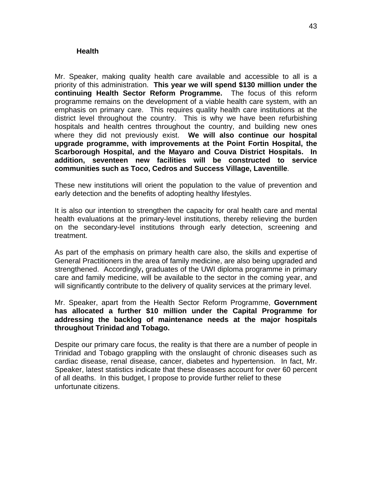#### <span id="page-45-0"></span>**Health**

Mr. Speaker, making quality health care available and accessible to all is a priority of this administration. **This year we will spend \$130 million under the continuing Health Sector Reform Programme.** The focus of this reform programme remains on the development of a viable health care system, with an emphasis on primary care. This requires quality health care institutions at the district level throughout the country. This is why we have been refurbishing hospitals and health centres throughout the country, and building new ones where they did not previously exist. **We will also continue our hospital upgrade programme, with improvements at the Point Fortin Hospital, the Scarborough Hospital, and the Mayaro and Couva District Hospitals. In addition, seventeen new facilities will be constructed to service communities such as Toco, Cedros and Success Village, Laventille**.

These new institutions will orient the population to the value of prevention and early detection and the benefits of adopting healthy lifestyles.

It is also our intention to strengthen the capacity for oral health care and mental health evaluations at the primary-level institutions, thereby relieving the burden on the secondary-level institutions through early detection, screening and treatment.

As part of the emphasis on primary health care also, the skills and expertise of General Practitioners in the area of family medicine, are also being upgraded and strengthened. Accordingly**,** graduates of the UWI diploma programme in primary care and family medicine, will be available to the sector in the coming year, and will significantly contribute to the delivery of quality services at the primary level.

Mr. Speaker, apart from the Health Sector Reform Programme, **Government has allocated a further \$10 million under the Capital Programme for addressing the backlog of maintenance needs at the major hospitals throughout Trinidad and Tobago.** 

Despite our primary care focus, the reality is that there are a number of people in Trinidad and Tobago grappling with the onslaught of chronic diseases such as cardiac disease, renal disease, cancer, diabetes and hypertension. In fact, Mr. Speaker, latest statistics indicate that these diseases account for over 60 percent of all deaths. In this budget, I propose to provide further relief to these unfortunate citizens.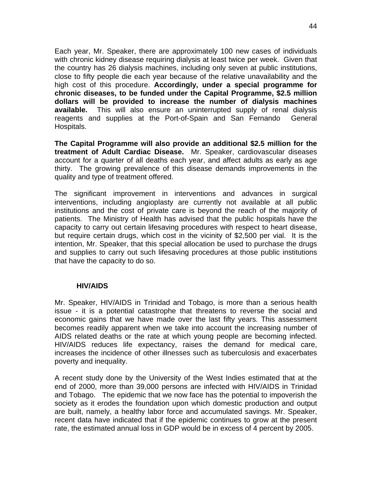<span id="page-46-0"></span>Each year, Mr. Speaker, there are approximately 100 new cases of individuals with chronic kidney disease requiring dialysis at least twice per week. Given that the country has 26 dialysis machines, including only seven at public institutions, close to fifty people die each year because of the relative unavailability and the high cost of this procedure. **Accordingly, under a special programme for chronic diseases, to be funded under the Capital Programme, \$2.5 million dollars will be provided to increase the number of dialysis machines available.** This will also ensure an uninterrupted supply of renal dialysis reagents and supplies at the Port-of-Spain and San Fernando General Hospitals.

**The Capital Programme will also provide an additional \$2.5 million for the treatment of Adult Cardiac Disease.** Mr. Speaker, cardiovascular diseases account for a quarter of all deaths each year, and affect adults as early as age thirty. The growing prevalence of this disease demands improvements in the quality and type of treatment offered.

The significant improvement in interventions and advances in surgical interventions, including angioplasty are currently not available at all public institutions and the cost of private care is beyond the reach of the majority of patients. The Ministry of Health has advised that the public hospitals have the capacity to carry out certain lifesaving procedures with respect to heart disease, but require certain drugs, which cost in the vicinity of \$2,500 per vial. It is the intention, Mr. Speaker, that this special allocation be used to purchase the drugs and supplies to carry out such lifesaving procedures at those public institutions that have the capacity to do so.

#### **HIV/AIDS**

Mr. Speaker, HIV/AIDS in Trinidad and Tobago, is more than a serious health issue - it is a potential catastrophe that threatens to reverse the social and economic gains that we have made over the last fifty years. This assessment becomes readily apparent when we take into account the increasing number of AIDS related deaths or the rate at which young people are becoming infected. HIV/AIDS reduces life expectancy, raises the demand for medical care, increases the incidence of other illnesses such as tuberculosis and exacerbates poverty and inequality.

A recent study done by the University of the West Indies estimated that at the end of 2000, more than 39,000 persons are infected with HIV/AIDS in Trinidad and Tobago. The epidemic that we now face has the potential to impoverish the society as it erodes the foundation upon which domestic production and output are built, namely, a healthy labor force and accumulated savings. Mr. Speaker, recent data have indicated that if the epidemic continues to grow at the present rate, the estimated annual loss in GDP would be in excess of 4 percent by 2005.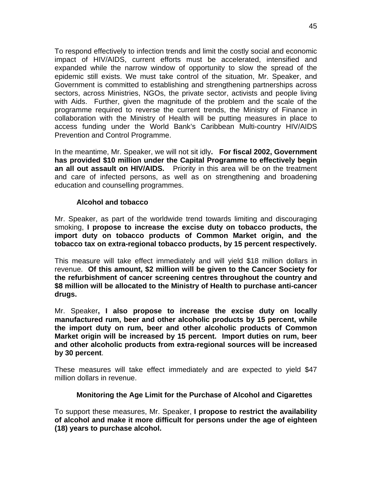<span id="page-47-0"></span>To respond effectively to infection trends and limit the costly social and economic impact of HIV/AIDS, current efforts must be accelerated, intensified and expanded while the narrow window of opportunity to slow the spread of the epidemic still exists. We must take control of the situation, Mr. Speaker, and Government is committed to establishing and strengthening partnerships across sectors, across Ministries, NGOs, the private sector, activists and people living with Aids. Further, given the magnitude of the problem and the scale of the programme required to reverse the current trends, the Ministry of Finance in collaboration with the Ministry of Health will be putting measures in place to access funding under the World Bank's Caribbean Multi-country HIV/AIDS Prevention and Control Programme.

In the meantime, Mr. Speaker, we will not sit idly**. For fiscal 2002, Government has provided \$10 million under the Capital Programme to effectively begin an all out assault on HIV/AIDS.** Priority in this area will be on the treatment and care of infected persons, as well as on strengthening and broadening education and counselling programmes.

#### **Alcohol and tobacco**

Mr. Speaker, as part of the worldwide trend towards limiting and discouraging smoking, **I propose to increase the excise duty on tobacco products, the import duty on tobacco products of Common Market origin, and the tobacco tax on extra-regional tobacco products, by 15 percent respectively.**

This measure will take effect immediately and will yield \$18 million dollars in revenue. **Of this amount, \$2 million will be given to the Cancer Society for the refurbishment of cancer screening centres throughout the country and \$8 million will be allocated to the Ministry of Health to purchase anti-cancer drugs.** 

Mr. Speaker**, I also propose to increase the excise duty on locally manufactured rum, beer and other alcoholic products by 15 percent, while the import duty on rum, beer and other alcoholic products of Common Market origin will be increased by 15 percent. Import duties on rum, beer and other alcoholic products from extra-regional sources will be increased by 30 percent**.

These measures will take effect immediately and are expected to yield \$47 million dollars in revenue.

#### **Monitoring the Age Limit for the Purchase of Alcohol and Cigarettes**

To support these measures, Mr. Speaker, **I propose to restrict the availability of alcohol and make it more difficult for persons under the age of eighteen (18) years to purchase alcohol.**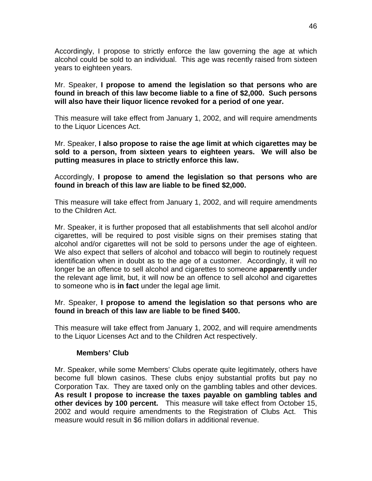<span id="page-48-0"></span>Accordingly, I propose to strictly enforce the law governing the age at which alcohol could be sold to an individual. This age was recently raised from sixteen years to eighteen years.

Mr. Speaker, **I propose to amend the legislation so that persons who are found in breach of this law become liable to a fine of \$2,000. Such persons will also have their liquor licence revoked for a period of one year.** 

This measure will take effect from January 1, 2002, and will require amendments to the Liquor Licences Act.

Mr. Speaker, **I also propose to raise the age limit at which cigarettes may be sold to a person, from sixteen years to eighteen years. We will also be putting measures in place to strictly enforce this law.** 

Accordingly, **I propose to amend the legislation so that persons who are found in breach of this law are liable to be fined \$2,000.** 

This measure will take effect from January 1, 2002, and will require amendments to the Children Act.

Mr. Speaker, it is further proposed that all establishments that sell alcohol and/or cigarettes, will be required to post visible signs on their premises stating that alcohol and/or cigarettes will not be sold to persons under the age of eighteen. We also expect that sellers of alcohol and tobacco will begin to routinely request identification when in doubt as to the age of a customer. Accordingly, it will no longer be an offence to sell alcohol and cigarettes to someone **apparently** under the relevant age limit, but, it will now be an offence to sell alcohol and cigarettes to someone who is **in fact** under the legal age limit.

#### Mr. Speaker, **I propose to amend the legislation so that persons who are found in breach of this law are liable to be fined \$400.**

This measure will take effect from January 1, 2002, and will require amendments to the Liquor Licenses Act and to the Children Act respectively.

#### **Members' Club**

Mr. Speaker, while some Members' Clubs operate quite legitimately, others have become full blown casinos. These clubs enjoy substantial profits but pay no Corporation Tax. They are taxed only on the gambling tables and other devices. **As result I propose to increase the taxes payable on gambling tables and other devices by 100 percent.** This measure will take effect from October 15, 2002 and would require amendments to the Registration of Clubs Act. This measure would result in \$6 million dollars in additional revenue.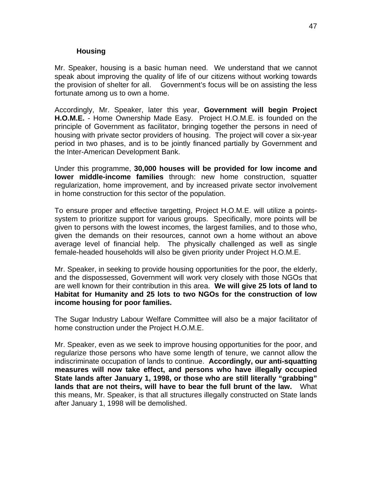#### **Housing**

<span id="page-49-0"></span>Mr. Speaker, housing is a basic human need. We understand that we cannot speak about improving the quality of life of our citizens without working towards the provision of shelter for all. Government's focus will be on assisting the less fortunate among us to own a home.

Accordingly, Mr. Speaker, later this year, **Government will begin Project H.O.M.E.** - Home Ownership Made Easy. Project H.O.M.E. is founded on the principle of Government as facilitator, bringing together the persons in need of housing with private sector providers of housing. The project will cover a six-year period in two phases, and is to be jointly financed partially by Government and the Inter-American Development Bank.

Under this programme, **30,000 houses will be provided for low income and lower middle-income families** through: new home construction, squatter regularization, home improvement, and by increased private sector involvement in home construction for this sector of the population.

To ensure proper and effective targetting, Project H.O.M.E. will utilize a pointssystem to prioritize support for various groups. Specifically, more points will be given to persons with the lowest incomes, the largest families, and to those who, given the demands on their resources, cannot own a home without an above average level of financial help. The physically challenged as well as single female-headed households will also be given priority under Project H.O.M.E.

Mr. Speaker, in seeking to provide housing opportunities for the poor, the elderly, and the dispossessed, Government will work very closely with those NGOs that are well known for their contribution in this area. **We will give 25 lots of land to Habitat for Humanity and 25 lots to two NGOs for the construction of low income housing for poor families.**

The Sugar Industry Labour Welfare Committee will also be a major facilitator of home construction under the Project H.O.M.E.

Mr. Speaker, even as we seek to improve housing opportunities for the poor, and regularize those persons who have some length of tenure, we cannot allow the indiscriminate occupation of lands to continue. **Accordingly, our anti-squatting measures will now take effect, and persons who have illegally occupied State lands after January 1, 1998, or those who are still literally "grabbing" lands that are not theirs, will have to bear the full brunt of the law.** What this means, Mr. Speaker, is that all structures illegally constructed on State lands after January 1, 1998 will be demolished.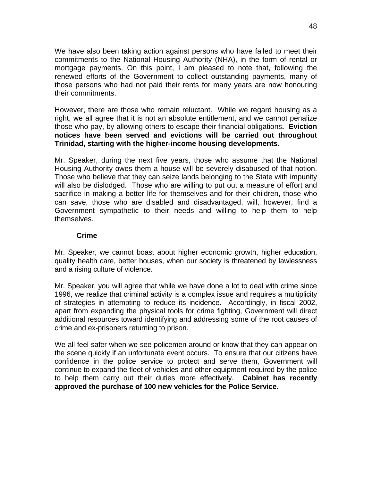<span id="page-50-0"></span>We have also been taking action against persons who have failed to meet their commitments to the National Housing Authority (NHA), in the form of rental or mortgage payments. On this point, I am pleased to note that, following the renewed efforts of the Government to collect outstanding payments, many of those persons who had not paid their rents for many years are now honouring their commitments.

However, there are those who remain reluctant. While we regard housing as a right, we all agree that it is not an absolute entitlement, and we cannot penalize those who pay, by allowing others to escape their financial obligations**. Eviction notices have been served and evictions will be carried out throughout Trinidad, starting with the higher-income housing developments.** 

Mr. Speaker, during the next five years, those who assume that the National Housing Authority owes them a house will be severely disabused of that notion. Those who believe that they can seize lands belonging to the State with impunity will also be dislodged. Those who are willing to put out a measure of effort and sacrifice in making a better life for themselves and for their children, those who can save, those who are disabled and disadvantaged, will, however, find a Government sympathetic to their needs and willing to help them to help themselves.

#### **Crime**

Mr. Speaker, we cannot boast about higher economic growth, higher education, quality health care, better houses, when our society is threatened by lawlessness and a rising culture of violence.

Mr. Speaker, you will agree that while we have done a lot to deal with crime since 1996, we realize that criminal activity is a complex issue and requires a multiplicity of strategies in attempting to reduce its incidence. Accordingly, in fiscal 2002, apart from expanding the physical tools for crime fighting, Government will direct additional resources toward identifying and addressing some of the root causes of crime and ex-prisoners returning to prison.

We all feel safer when we see policemen around or know that they can appear on the scene quickly if an unfortunate event occurs. To ensure that our citizens have confidence in the police service to protect and serve them, Government will continue to expand the fleet of vehicles and other equipment required by the police to help them carry out their duties more effectively. **Cabinet has recently approved the purchase of 100 new vehicles for the Police Service.**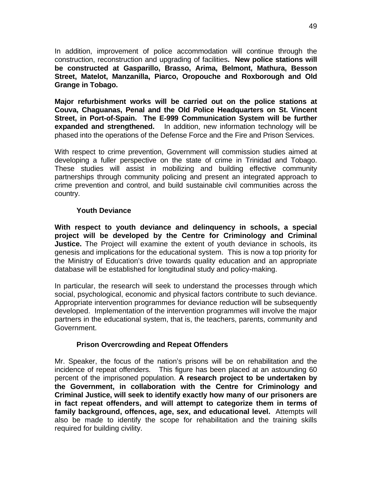<span id="page-51-0"></span>In addition, improvement of police accommodation will continue through the construction, reconstruction and upgrading of facilities**. New police stations will be constructed at Gasparillo, Brasso, Arima, Belmont, Mathura, Besson Street, Matelot, Manzanilla, Piarco, Oropouche and Roxborough and Old Grange in Tobago.** 

**Major refurbishment works will be carried out on the police stations at Couva, Chaguanas, Penal and the Old Police Headquarters on St. Vincent Street, in Port-of-Spain. The E-999 Communication System will be further expanded and strengthened.** In addition, new information technology will be phased into the operations of the Defense Force and the Fire and Prison Services.

With respect to crime prevention, Government will commission studies aimed at developing a fuller perspective on the state of crime in Trinidad and Tobago. These studies will assist in mobilizing and building effective community partnerships through community policing and present an integrated approach to crime prevention and control, and build sustainable civil communities across the country.

#### **Youth Deviance**

**With respect to youth deviance and delinquency in schools, a special project will be developed by the Centre for Criminology and Criminal Justice.** The Project will examine the extent of youth deviance in schools, its genesis and implications for the educational system. This is now a top priority for the Ministry of Education's drive towards quality education and an appropriate database will be established for longitudinal study and policy-making.

In particular, the research will seek to understand the processes through which social, psychological, economic and physical factors contribute to such deviance. Appropriate intervention programmes for deviance reduction will be subsequently developed. Implementation of the intervention programmes will involve the major partners in the educational system, that is, the teachers, parents, community and Government.

#### **Prison Overcrowding and Repeat Offenders**

Mr. Speaker, the focus of the nation's prisons will be on rehabilitation and the incidence of repeat offenders. This figure has been placed at an astounding 60 percent of the imprisoned population. **A research project to be undertaken by the Government, in collaboration with the Centre for Criminology and Criminal Justice, will seek to identify exactly how many of our prisoners are in fact repeat offenders, and will attempt to categorize them in terms of family background, offences, age, sex, and educational level.** Attempts will also be made to identify the scope for rehabilitation and the training skills required for building civility.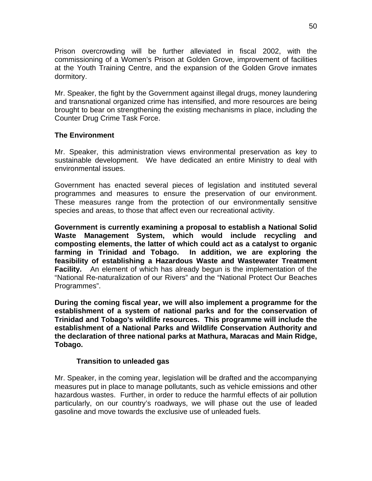<span id="page-52-0"></span>Prison overcrowding will be further alleviated in fiscal 2002, with the commissioning of a Women's Prison at Golden Grove, improvement of facilities at the Youth Training Centre, and the expansion of the Golden Grove inmates dormitory.

Mr. Speaker, the fight by the Government against illegal drugs, money laundering and transnational organized crime has intensified, and more resources are being brought to bear on strengthening the existing mechanisms in place, including the Counter Drug Crime Task Force.

#### **The Environment**

Mr. Speaker, this administration views environmental preservation as key to sustainable development. We have dedicated an entire Ministry to deal with environmental issues.

Government has enacted several pieces of legislation and instituted several programmes and measures to ensure the preservation of our environment. These measures range from the protection of our environmentally sensitive species and areas, to those that affect even our recreational activity.

**Government is currently examining a proposal to establish a National Solid Waste Management System, which would include recycling and composting elements, the latter of which could act as a catalyst to organic farming in Trinidad and Tobago. In addition, we are exploring the feasibility of establishing a Hazardous Waste and Wastewater Treatment Facility.** An element of which has already begun is the implementation of the "National Re-naturalization of our Rivers" and the "National Protect Our Beaches Programmes".

**During the coming fiscal year, we will also implement a programme for the establishment of a system of national parks and for the conservation of Trinidad and Tobago's wildlife resources. This programme will include the establishment of a National Parks and Wildlife Conservation Authority and the declaration of three national parks at Mathura, Maracas and Main Ridge, Tobago.** 

#### **Transition to unleaded gas**

Mr. Speaker, in the coming year, legislation will be drafted and the accompanying measures put in place to manage pollutants, such as vehicle emissions and other hazardous wastes. Further, in order to reduce the harmful effects of air pollution particularly, on our country's roadways, we will phase out the use of leaded gasoline and move towards the exclusive use of unleaded fuels.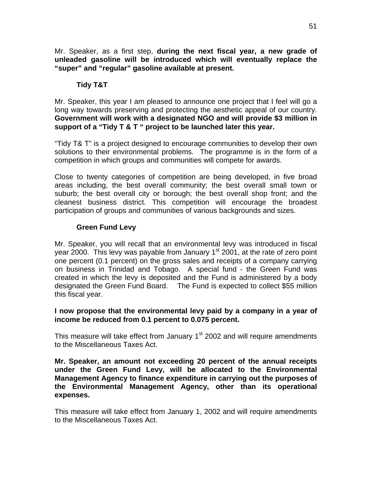<span id="page-53-0"></span>Mr. Speaker, as a first step, **during the next fiscal year, a new grade of unleaded gasoline will be introduced which will eventually replace the "super" and "regular" gasoline available at present.** 

### **Tidy T&T**

Mr. Speaker, this year I am pleased to announce one project that I feel will go a long way towards preserving and protecting the aesthetic appeal of our country. **Government will work with a designated NGO and will provide \$3 million in support of a "Tidy T & T " project to be launched later this year.** 

"Tidy T& T" is a project designed to encourage communities to develop their own solutions to their environmental problems. The programme is in the form of a competition in which groups and communities will compete for awards.

Close to twenty categories of competition are being developed, in five broad areas including, the best overall community; the best overall small town or suburb; the best overall city or borough; the best overall shop front; and the cleanest business district. This competition will encourage the broadest participation of groups and communities of various backgrounds and sizes.

## **Green Fund Levy**

Mr. Speaker, you will recall that an environmental levy was introduced in fiscal year 2000. This levy was payable from January  $1<sup>st</sup>$  2001, at the rate of zero point one percent (0.1 percent) on the gross sales and receipts of a company carrying on business in Trinidad and Tobago. A special fund - the Green Fund was created in which the levy is deposited and the Fund is administered by a body designated the Green Fund Board. The Fund is expected to collect \$55 million this fiscal year.

#### **I now propose that the environmental levy paid by a company in a year of income be reduced from 0.1 percent to 0.075 percent.**

This measure will take effect from January  $1<sup>st</sup>$  2002 and will require amendments to the Miscellaneous Taxes Act.

**Mr. Speaker, an amount not exceeding 20 percent of the annual receipts under the Green Fund Levy, will be allocated to the Environmental Management Agency to finance expenditure in carrying out the purposes of the Environmental Management Agency, other than its operational expenses.** 

This measure will take effect from January 1, 2002 and will require amendments to the Miscellaneous Taxes Act.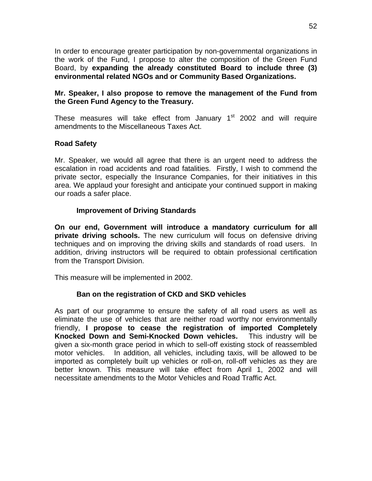<span id="page-54-0"></span>In order to encourage greater participation by non-governmental organizations in the work of the Fund, I propose to alter the composition of the Green Fund Board, by **expanding the already constituted Board to include three (3) environmental related NGOs and or Community Based Organizations.** 

#### **Mr. Speaker, I also propose to remove the management of the Fund from the Green Fund Agency to the Treasury.**

These measures will take effect from January  $1<sup>st</sup>$  2002 and will require amendments to the Miscellaneous Taxes Act.

#### **Road Safety**

Mr. Speaker, we would all agree that there is an urgent need to address the escalation in road accidents and road fatalities. Firstly, I wish to commend the private sector, especially the Insurance Companies, for their initiatives in this area. We applaud your foresight and anticipate your continued support in making our roads a safer place.

#### **Improvement of Driving Standards**

**On our end, Government will introduce a mandatory curriculum for all private driving schools.** The new curriculum will focus on defensive driving techniques and on improving the driving skills and standards of road users. In addition, driving instructors will be required to obtain professional certification from the Transport Division.

This measure will be implemented in 2002.

#### **Ban on the registration of CKD and SKD vehicles**

As part of our programme to ensure the safety of all road users as well as eliminate the use of vehicles that are neither road worthy nor environmentally friendly, **I propose to cease the registration of imported Completely Knocked Down and Semi-Knocked Down vehicles.** This industry will be given a six-month grace period in which to sell-off existing stock of reassembled motor vehicles. In addition, all vehicles, including taxis, will be allowed to be imported as completely built up vehicles or roll-on, roll-off vehicles as they are better known. This measure will take effect from April 1, 2002 and will necessitate amendments to the Motor Vehicles and Road Traffic Act.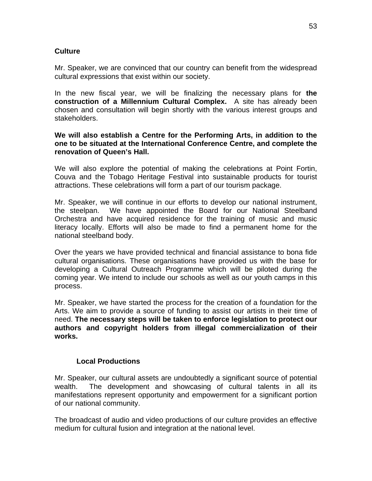## <span id="page-55-0"></span>**Culture**

Mr. Speaker, we are convinced that our country can benefit from the widespread cultural expressions that exist within our society.

In the new fiscal year, we will be finalizing the necessary plans for **the construction of a Millennium Cultural Complex.** A site has already been chosen and consultation will begin shortly with the various interest groups and stakeholders.

#### **We will also establish a Centre for the Performing Arts, in addition to the one to be situated at the International Conference Centre, and complete the renovation of Queen's Hall.**

We will also explore the potential of making the celebrations at Point Fortin, Couva and the Tobago Heritage Festival into sustainable products for tourist attractions. These celebrations will form a part of our tourism package.

Mr. Speaker, we will continue in our efforts to develop our national instrument, the steelpan. We have appointed the Board for our National Steelband Orchestra and have acquired residence for the training of music and music literacy locally. Efforts will also be made to find a permanent home for the national steelband body.

Over the years we have provided technical and financial assistance to bona fide cultural organisations. These organisations have provided us with the base for developing a Cultural Outreach Programme which will be piloted during the coming year. We intend to include our schools as well as our youth camps in this process.

Mr. Speaker, we have started the process for the creation of a foundation for the Arts. We aim to provide a source of funding to assist our artists in their time of need. **The necessary steps will be taken to enforce legislation to protect our authors and copyright holders from illegal commercialization of their works.** 

#### **Local Productions**

Mr. Speaker, our cultural assets are undoubtedly a significant source of potential wealth. The development and showcasing of cultural talents in all its manifestations represent opportunity and empowerment for a significant portion of our national community.

The broadcast of audio and video productions of our culture provides an effective medium for cultural fusion and integration at the national level.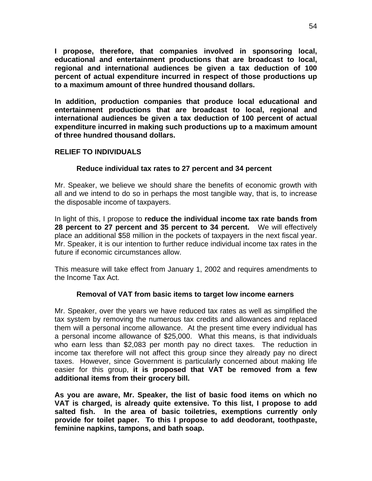<span id="page-56-0"></span>**I propose, therefore, that companies involved in sponsoring local, educational and entertainment productions that are broadcast to local, regional and international audiences be given a tax deduction of 100 percent of actual expenditure incurred in respect of those productions up to a maximum amount of three hundred thousand dollars.** 

**In addition, production companies that produce local educational and entertainment productions that are broadcast to local, regional and international audiences be given a tax deduction of 100 percent of actual expenditure incurred in making such productions up to a maximum amount of three hundred thousand dollars.** 

## **RELIEF TO INDIVIDUALS**

## **Reduce individual tax rates to 27 percent and 34 percent**

Mr. Speaker, we believe we should share the benefits of economic growth with all and we intend to do so in perhaps the most tangible way, that is, to increase the disposable income of taxpayers.

In light of this, I propose to **reduce the individual income tax rate bands from 28 percent to 27 percent and 35 percent to 34 percent.** We will effectively place an additional \$58 million in the pockets of taxpayers in the next fiscal year. Mr. Speaker, it is our intention to further reduce individual income tax rates in the future if economic circumstances allow.

This measure will take effect from January 1, 2002 and requires amendments to the Income Tax Act.

#### **Removal of VAT from basic items to target low income earners**

Mr. Speaker, over the years we have reduced tax rates as well as simplified the tax system by removing the numerous tax credits and allowances and replaced them will a personal income allowance. At the present time every individual has a personal income allowance of \$25,000. What this means, is that individuals who earn less than \$2,083 per month pay no direct taxes. The reduction in income tax therefore will not affect this group since they already pay no direct taxes. However, since Government is particularly concerned about making life easier for this group, **it is proposed that VAT be removed from a few additional items from their grocery bill.** 

**As you are aware, Mr. Speaker, the list of basic food items on which no VAT is charged, is already quite extensive. To this list, I propose to add salted fish. In the area of basic toiletries, exemptions currently only provide for toilet paper. To this I propose to add deodorant, toothpaste, feminine napkins, tampons, and bath soap.**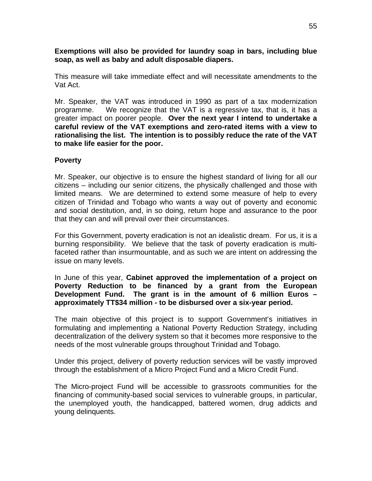<span id="page-57-0"></span>**Exemptions will also be provided for laundry soap in bars, including blue soap, as well as baby and adult disposable diapers.** 

This measure will take immediate effect and will necessitate amendments to the Vat Act.

Mr. Speaker, the VAT was introduced in 1990 as part of a tax modernization programme. We recognize that the VAT is a regressive tax, that is, it has a greater impact on poorer people. **Over the next year I intend to undertake a careful review of the VAT exemptions and zero-rated items with a view to rationalising the list. The intention is to possibly reduce the rate of the VAT to make life easier for the poor.** 

## **Poverty**

Mr. Speaker, our objective is to ensure the highest standard of living for all our citizens – including our senior citizens, the physically challenged and those with limited means. We are determined to extend some measure of help to every citizen of Trinidad and Tobago who wants a way out of poverty and economic and social destitution, and, in so doing, return hope and assurance to the poor that they can and will prevail over their circumstances.

For this Government, poverty eradication is not an idealistic dream. For us, it is a burning responsibility. We believe that the task of poverty eradication is multifaceted rather than insurmountable, and as such we are intent on addressing the issue on many levels.

#### In June of this year, **Cabinet approved the implementation of a project on Poverty Reduction to be financed by a grant from the European Development Fund. The grant is in the amount of 6 million Euros – approximately TT\$34 million - to be disbursed over a six-year period.**

The main objective of this project is to support Government's initiatives in formulating and implementing a National Poverty Reduction Strategy, including decentralization of the delivery system so that it becomes more responsive to the needs of the most vulnerable groups throughout Trinidad and Tobago.

Under this project, delivery of poverty reduction services will be vastly improved through the establishment of a Micro Project Fund and a Micro Credit Fund.

The Micro-project Fund will be accessible to grassroots communities for the financing of community-based social services to vulnerable groups, in particular, the unemployed youth, the handicapped, battered women, drug addicts and young delinquents.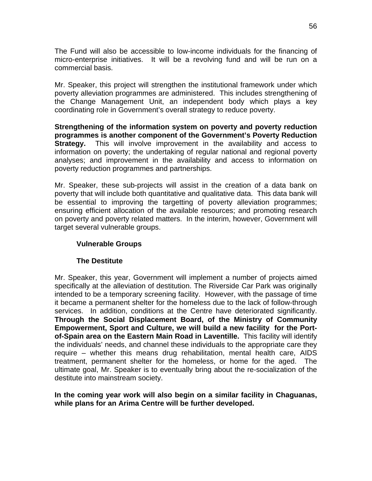<span id="page-58-0"></span>The Fund will also be accessible to low-income individuals for the financing of micro-enterprise initiatives. It will be a revolving fund and will be run on a commercial basis.

Mr. Speaker, this project will strengthen the institutional framework under which poverty alleviation programmes are administered. This includes strengthening of the Change Management Unit, an independent body which plays a key coordinating role in Government's overall strategy to reduce poverty.

**Strengthening of the information system on poverty and poverty reduction programmes is another component of the Government's Poverty Reduction Strategy.** This will involve improvement in the availability and access to information on poverty; the undertaking of regular national and regional poverty analyses; and improvement in the availability and access to information on poverty reduction programmes and partnerships.

Mr. Speaker, these sub-projects will assist in the creation of a data bank on poverty that will include both quantitative and qualitative data. This data bank will be essential to improving the targetting of poverty alleviation programmes; ensuring efficient allocation of the available resources; and promoting research on poverty and poverty related matters. In the interim, however, Government will target several vulnerable groups.

## **Vulnerable Groups**

#### **The Destitute**

Mr. Speaker, this year, Government will implement a number of projects aimed specifically at the alleviation of destitution. The Riverside Car Park was originally intended to be a temporary screening facility. However, with the passage of time it became a permanent shelter for the homeless due to the lack of follow-through services. In addition, conditions at the Centre have deteriorated significantly. **Through the Social Displacement Board, of the Ministry of Community Empowerment, Sport and Culture, we will build a new facility for the Portof-Spain area on the Eastern Main Road in Laventille.** This facility will identify the individuals' needs, and channel these individuals to the appropriate care they require – whether this means drug rehabilitation, mental health care, AIDS treatment, permanent shelter for the homeless, or home for the aged. The ultimate goal, Mr. Speaker is to eventually bring about the re-socialization of the destitute into mainstream society.

**In the coming year work will also begin on a similar facility in Chaguanas, while plans for an Arima Centre will be further developed.**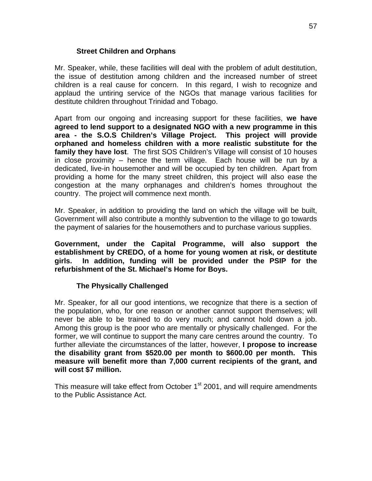#### **Street Children and Orphans**

<span id="page-59-0"></span>Mr. Speaker, while, these facilities will deal with the problem of adult destitution, the issue of destitution among children and the increased number of street children is a real cause for concern. In this regard, I wish to recognize and applaud the untiring service of the NGOs that manage various facilities for destitute children throughout Trinidad and Tobago.

Apart from our ongoing and increasing support for these facilities, **we have agreed to lend support to a designated NGO with a new programme in this area - the S.O.S Children's Village Project. This project will provide orphaned and homeless children with a more realistic substitute for the family they have lost**. The first SOS Children's Village will consist of 10 houses in close proximity – hence the term village. Each house will be run by a dedicated, live-in housemother and will be occupied by ten children. Apart from providing a home for the many street children, this project will also ease the congestion at the many orphanages and children's homes throughout the country. The project will commence next month.

Mr. Speaker, in addition to providing the land on which the village will be built, Government will also contribute a monthly subvention to the village to go towards the payment of salaries for the housemothers and to purchase various supplies.

**Government, under the Capital Programme, will also support the establishment by CREDO, of a home for young women at risk, or destitute girls. In addition, funding will be provided under the PSIP for the refurbishment of the St. Michael's Home for Boys.** 

#### **The Physically Challenged**

Mr. Speaker, for all our good intentions, we recognize that there is a section of the population, who, for one reason or another cannot support themselves; will never be able to be trained to do very much; and cannot hold down a job. Among this group is the poor who are mentally or physically challenged. For the former, we will continue to support the many care centres around the country. To further alleviate the circumstances of the latter, however, **I propose to increase the disability grant from \$520.00 per month to \$600.00 per month. This measure will benefit more than 7,000 current recipients of the grant, and will cost \$7 million.** 

This measure will take effect from October  $1<sup>st</sup>$  2001, and will require amendments to the Public Assistance Act.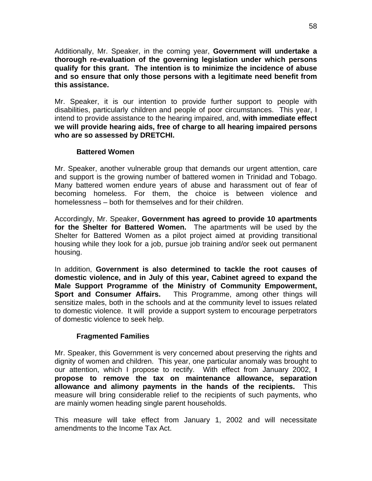<span id="page-60-0"></span>Additionally, Mr. Speaker, in the coming year, **Government will undertake a thorough re-evaluation of the governing legislation under which persons qualify for this grant. The intention is to minimize the incidence of abuse and so ensure that only those persons with a legitimate need benefit from this assistance.** 

Mr. Speaker, it is our intention to provide further support to people with disabilities, particularly children and people of poor circumstances. This year, I intend to provide assistance to the hearing impaired, and, **with immediate effect we will provide hearing aids, free of charge to all hearing impaired persons who are so assessed by DRETCHI.** 

#### **Battered Women**

Mr. Speaker, another vulnerable group that demands our urgent attention, care and support is the growing number of battered women in Trinidad and Tobago. Many battered women endure years of abuse and harassment out of fear of becoming homeless. For them, the choice is between violence and homelessness – both for themselves and for their children.

Accordingly, Mr. Speaker, **Government has agreed to provide 10 apartments for the Shelter for Battered Women.** The apartments will be used by the Shelter for Battered Women as a pilot project aimed at providing transitional housing while they look for a job, pursue job training and/or seek out permanent housing.

In addition, **Government is also determined to tackle the root causes of domestic violence, and in July of this year, Cabinet agreed to expand the Male Support Programme of the Ministry of Community Empowerment, Sport and Consumer Affairs.** This Programme, among other things will sensitize males, both in the schools and at the community level to issues related to domestic violence. It will provide a support system to encourage perpetrators of domestic violence to seek help.

#### **Fragmented Families**

Mr. Speaker, this Government is very concerned about preserving the rights and dignity of women and children. This year, one particular anomaly was brought to our attention, which I propose to rectify. With effect from January 2002, **I propose to remove the tax on maintenance allowance, separation allowance and alimony payments in the hands of the recipients.** This measure will bring considerable relief to the recipients of such payments, who are mainly women heading single parent households.

This measure will take effect from January 1, 2002 and will necessitate amendments to the Income Tax Act.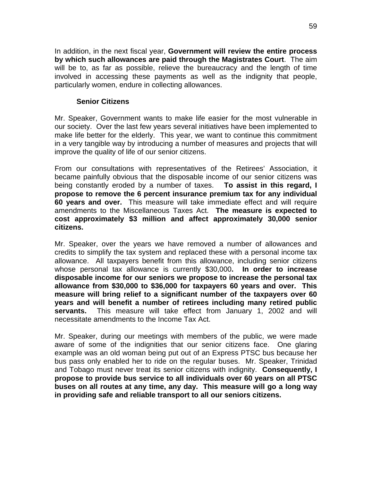<span id="page-61-0"></span>In addition, in the next fiscal year, **Government will review the entire process by which such allowances are paid through the Magistrates Court**. The aim will be to, as far as possible, relieve the bureaucracy and the length of time involved in accessing these payments as well as the indignity that people, particularly women, endure in collecting allowances.

#### **Senior Citizens**

Mr. Speaker, Government wants to make life easier for the most vulnerable in our society. Over the last few years several initiatives have been implemented to make life better for the elderly. This year, we want to continue this commitment in a very tangible way by introducing a number of measures and projects that will improve the quality of life of our senior citizens.

From our consultations with representatives of the Retirees' Association, it became painfully obvious that the disposable income of our senior citizens was being constantly eroded by a number of taxes. **To assist in this regard, I propose to remove the 6 percent insurance premium tax for any individual 60 years and over.** This measure will take immediate effect and will require amendments to the Miscellaneous Taxes Act. **The measure is expected to cost approximately \$3 million and affect approximately 30,000 senior citizens.** 

Mr. Speaker, over the years we have removed a number of allowances and credits to simplify the tax system and replaced these with a personal income tax allowance. All taxpayers benefit from this allowance, including senior citizens whose personal tax allowance is currently \$30,000**. In order to increase disposable income for our seniors we propose to increase the personal tax allowance from \$30,000 to \$36,000 for taxpayers 60 years and over. This measure will bring relief to a significant number of the taxpayers over 60 years and will benefit a number of retirees including many retired public servants.** This measure will take effect from January 1, 2002 and will necessitate amendments to the Income Tax Act.

Mr. Speaker, during our meetings with members of the public, we were made aware of some of the indignities that our senior citizens face. One glaring example was an old woman being put out of an Express PTSC bus because her bus pass only enabled her to ride on the regular buses. Mr. Speaker, Trinidad and Tobago must never treat its senior citizens with indignity. **Consequently, I propose to provide bus service to all individuals over 60 years on all PTSC buses on all routes at any time, any day. This measure will go a long way in providing safe and reliable transport to all our seniors citizens.**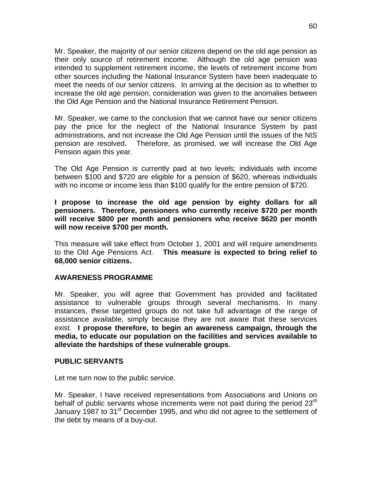<span id="page-62-0"></span>Mr. Speaker, the majority of our senior citizens depend on the old age pension as their only source of retirement income. Although the old age pension was intended to supplement retirement income, the levels of retirement income from other sources including the National Insurance System have been inadequate to meet the needs of our senior citizens. In arriving at the decision as to whether to increase the old age pension, consideration was given to the anomalies between the Old Age Pension and the National Insurance Retirement Pension.

Mr. Speaker, we came to the conclusion that we cannot have our senior citizens pay the price for the neglect of the National Insurance System by past administrations, and not increase the Old Age Pension until the issues of the NIS pension are resolved. Therefore, as promised, we will increase the Old Age Pension again this year.

The Old Age Pension is currently paid at two levels; individuals with income between \$100 and \$720 are eligible for a pension of \$620, whereas individuals with no income or income less than \$100 qualify for the entire pension of \$720.

**I propose to increase the old age pension by eighty dollars for all pensioners. Therefore, pensioners who currently receive \$720 per month will receive \$800 per month and pensioners who receive \$620 per month will now receive \$700 per month.** 

This measure will take effect from October 1, 2001 and will require amendments to the Old Age Pensions Act. **This measure is expected to bring relief to 68,000 senior citizens.** 

#### **AWARENESS PROGRAMME**

Mr. Speaker, you will agree that Government has provided and facilitated assistance to vulnerable groups through several mechanisms. In many instances, these targetted groups do not take full advantage of the range of assistance available, simply because they are not aware that these services exist. **I propose therefore, to begin an awareness campaign, through the media, to educate our population on the facilities and services available to alleviate the hardships of these vulnerable groups**.

#### **PUBLIC SERVANTS**

Let me turn now to the public service.

Mr. Speaker, I have received representations from Associations and Unions on behalf of public servants whose increments were not paid during the period  $23<sup>rd</sup>$ January 1987 to 31<sup>st</sup> December 1995, and who did not agree to the settlement of the debt by means of a buy-out.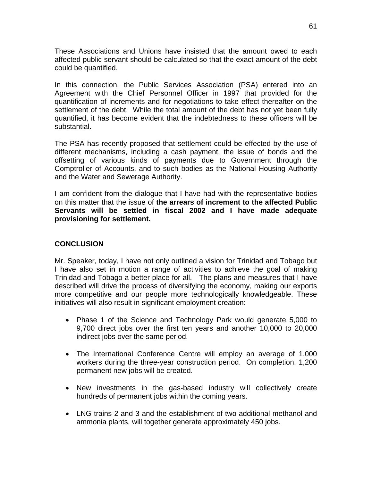<span id="page-63-0"></span>These Associations and Unions have insisted that the amount owed to each affected public servant should be calculated so that the exact amount of the debt could be quantified.

In this connection, the Public Services Association (PSA) entered into an Agreement with the Chief Personnel Officer in 1997 that provided for the quantification of increments and for negotiations to take effect thereafter on the settlement of the debt. While the total amount of the debt has not yet been fully quantified, it has become evident that the indebtedness to these officers will be substantial.

The PSA has recently proposed that settlement could be effected by the use of different mechanisms, including a cash payment, the issue of bonds and the offsetting of various kinds of payments due to Government through the Comptroller of Accounts, and to such bodies as the National Housing Authority and the Water and Sewerage Authority.

I am confident from the dialogue that I have had with the representative bodies on this matter that the issue of **the arrears of increment to the affected Public Servants will be settled in fiscal 2002 and I have made adequate provisioning for settlement.** 

### **CONCLUSION**

Mr. Speaker, today, I have not only outlined a vision for Trinidad and Tobago but I have also set in motion a range of activities to achieve the goal of making Trinidad and Tobago a better place for all. The plans and measures that I have described will drive the process of diversifying the economy, making our exports more competitive and our people more technologically knowledgeable. These initiatives will also result in significant employment creation:

- Phase 1 of the Science and Technology Park would generate 5,000 to 9,700 direct jobs over the first ten years and another 10,000 to 20,000 indirect jobs over the same period.
- The International Conference Centre will employ an average of 1,000 workers during the three-year construction period. On completion, 1,200 permanent new jobs will be created.
- New investments in the gas-based industry will collectively create hundreds of permanent jobs within the coming years.
- LNG trains 2 and 3 and the establishment of two additional methanol and ammonia plants, will together generate approximately 450 jobs.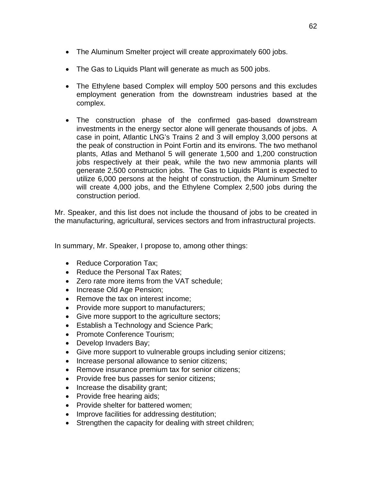- The Aluminum Smelter project will create approximately 600 jobs.
- The Gas to Liquids Plant will generate as much as 500 jobs.
- The Ethylene based Complex will employ 500 persons and this excludes employment generation from the downstream industries based at the complex.
- The construction phase of the confirmed gas-based downstream investments in the energy sector alone will generate thousands of jobs. A case in point, Atlantic LNG's Trains 2 and 3 will employ 3,000 persons at the peak of construction in Point Fortin and its environs. The two methanol plants, Atlas and Methanol 5 will generate 1,500 and 1,200 construction jobs respectively at their peak, while the two new ammonia plants will generate 2,500 construction jobs. The Gas to Liquids Plant is expected to utilize 6,000 persons at the height of construction, the Aluminum Smelter will create 4,000 jobs, and the Ethylene Complex 2,500 jobs during the construction period.

Mr. Speaker, and this list does not include the thousand of jobs to be created in the manufacturing, agricultural, services sectors and from infrastructural projects.

In summary, Mr. Speaker, I propose to, among other things:

- Reduce Corporation Tax;
- Reduce the Personal Tax Rates:
- Zero rate more items from the VAT schedule;
- Increase Old Age Pension;
- Remove the tax on interest income:
- Provide more support to manufacturers;
- Give more support to the agriculture sectors;
- Establish a Technology and Science Park;
- Promote Conference Tourism;
- Develop Invaders Bay;
- Give more support to vulnerable groups including senior citizens;
- Increase personal allowance to senior citizens;
- Remove insurance premium tax for senior citizens;
- Provide free bus passes for senior citizens;
- Increase the disability grant;
- Provide free hearing aids;
- Provide shelter for battered women;
- Improve facilities for addressing destitution;
- Strengthen the capacity for dealing with street children;